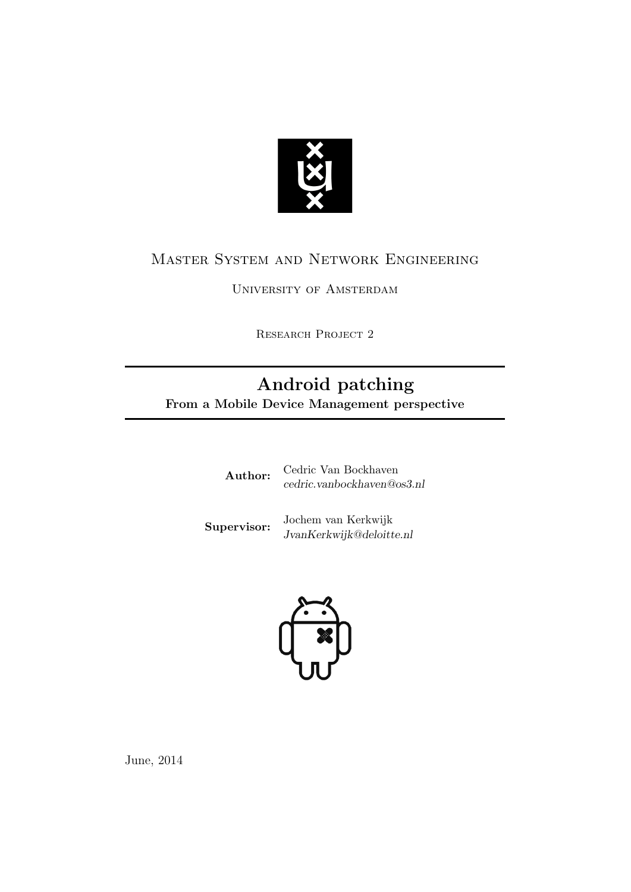

# Master System and Network Engineering

University of Amsterdam

RESEARCH PROJECT 2

# Android patching

From a Mobile Device Management perspective

| Author: | Cedric Van Bockhaven       |
|---------|----------------------------|
|         | cedric.vanbockhaven@os3.nl |
|         |                            |

**Supervisor:** Jochem van Kerkwijk JvanKerkwijk@deloitte.nl



June, 2014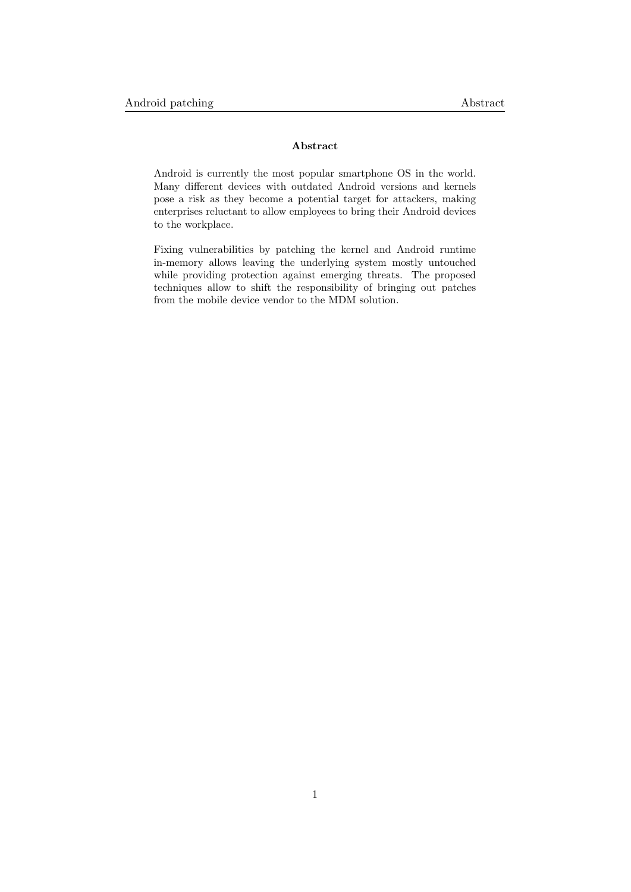#### Abstract

Android is currently the most popular smartphone OS in the world. Many different devices with outdated Android versions and kernels pose a risk as they become a potential target for attackers, making enterprises reluctant to allow employees to bring their Android devices to the workplace.

Fixing vulnerabilities by patching the kernel and Android runtime in-memory allows leaving the underlying system mostly untouched while providing protection against emerging threats. The proposed techniques allow to shift the responsibility of bringing out patches from the mobile device vendor to the MDM solution.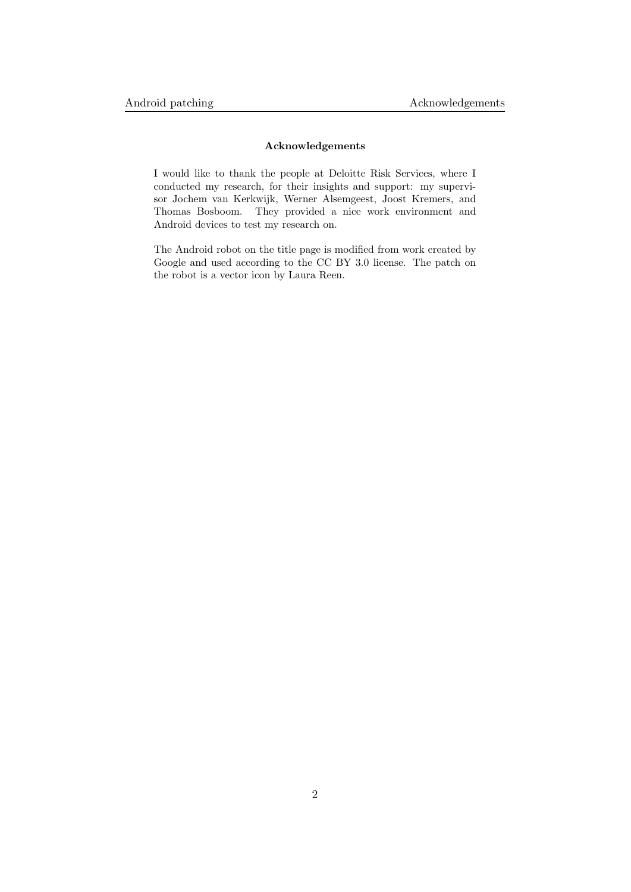#### Acknowledgements

I would like to thank the people at Deloitte Risk Services, where I conducted my research, for their insights and support: my supervisor Jochem van Kerkwijk, Werner Alsemgeest, Joost Kremers, and Thomas Bosboom. They provided a nice work environment and Android devices to test my research on.

The Android robot on the title page is modified from work created by Google and used according to the [CC BY 3.0](http://creativecommons.org/licenses/by/3.0/) license. The patch on the robot is a vector icon by Laura Reen.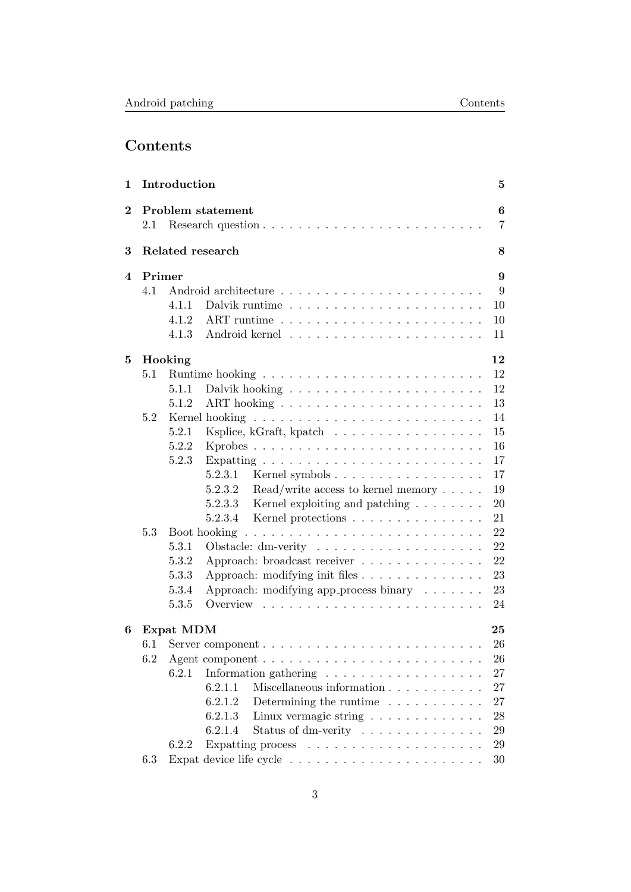# Contents

| 1        |         | Introduction                                                                   | 5                   |
|----------|---------|--------------------------------------------------------------------------------|---------------------|
| $\bf{2}$ | $2.1\,$ | Problem statement                                                              | 6<br>$\overline{7}$ |
| 3        |         | Related research                                                               | 8                   |
| 4        | Primer  |                                                                                | 9                   |
|          | 4.1     |                                                                                | 9                   |
|          |         | 10<br>4.1.1<br>Dalvik runtime                                                  |                     |
|          |         | 10<br>4.1.2                                                                    |                     |
|          |         | 4.1.3<br>11                                                                    |                     |
| 5        |         | Hooking<br>12                                                                  |                     |
|          | 5.1     | 12                                                                             |                     |
|          |         | 12<br>5.1.1                                                                    |                     |
|          |         | 13<br>5.1.2                                                                    |                     |
|          | 5.2     | 14                                                                             |                     |
|          |         | Ksplice, kGraft, kpatch<br>15<br>5.2.1                                         |                     |
|          |         | 5.2.2<br>16                                                                    |                     |
|          |         | 5.2.3<br>17                                                                    |                     |
|          |         | $5.2.3.1$ Kernel symbols<br>17                                                 |                     |
|          |         | 19<br>5.2.3.2<br>$\text{Read}/\text{write}$ access to kernel memory $\ldots$ . |                     |
|          |         | Kernel exploiting and patching $\ldots \ldots$<br>20<br>5.2.3.3                |                     |
|          |         | Kernel protections<br>21<br>5.2.3.4                                            |                     |
|          | 5.3     | 22                                                                             |                     |
|          |         | 22<br>5.3.1<br>Obstacle: dm-verity $\dots \dots \dots \dots \dots \dots \dots$ |                     |
|          |         | 5.3.2<br>Approach: broadcast receiver<br>22                                    |                     |
|          |         | 23<br>5.3.3<br>Approach: modifying init files                                  |                     |
|          |         | 5.3.4<br>Approach: modifying app_process binary<br>23                          |                     |
|          |         | 5.3.5<br>Overview<br>24                                                        |                     |
| 6        |         | Expat MDM<br>25                                                                |                     |
|          | 6.1     | 26                                                                             |                     |
|          | 6.2     | 26                                                                             |                     |
|          |         | 6.2.1<br>27                                                                    |                     |
|          |         | Miscellaneous information<br>6.2.1.1<br>27                                     |                     |
|          |         | 6.2.1.2<br>Determining the runtime $\ldots \ldots \ldots$<br>27                |                     |
|          |         | 6.2.1.3<br>Linux vermagic string<br>28                                         |                     |
|          |         | 6.2.1.4<br>Status of dm-verity $\dots \dots \dots \dots$<br>$\,29$             |                     |
|          |         | $\,29$<br>6.2.2                                                                |                     |
|          | 6.3     | 30                                                                             |                     |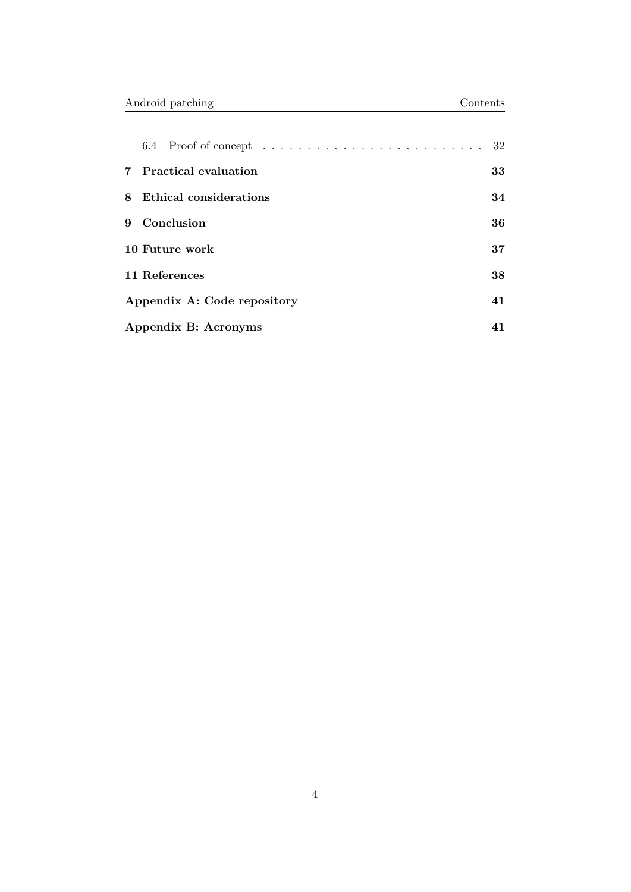|                            | 7 Practical evaluation      | 33 |
|----------------------------|-----------------------------|----|
| 8                          | Ethical considerations      | 34 |
| $\mathbf{Q}$               | Conclusion                  | 36 |
|                            | 10 Future work              | 37 |
|                            | 11 References               | 38 |
|                            | Appendix A: Code repository | 41 |
| Appendix B: Acronyms<br>41 |                             |    |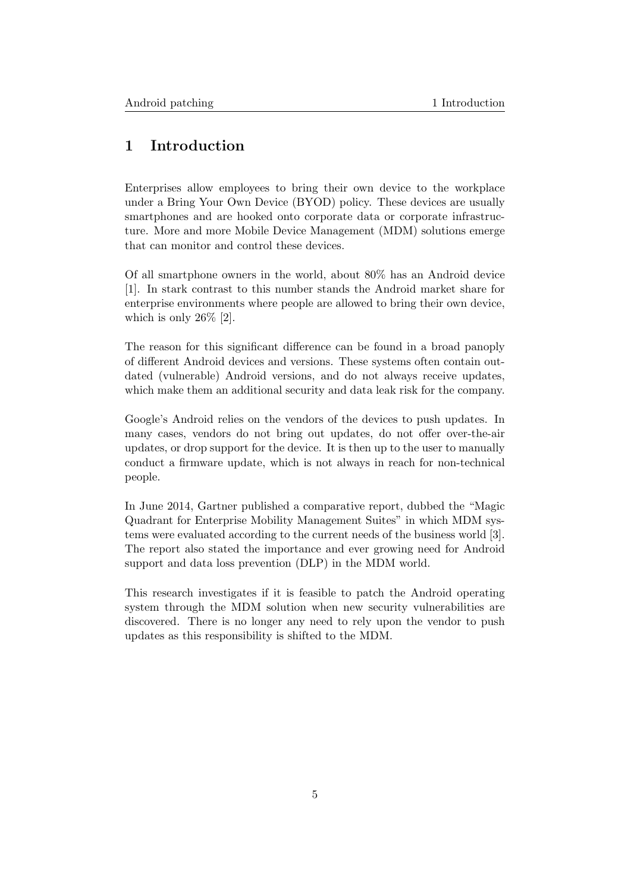# <span id="page-5-0"></span>1 Introduction

Enterprises allow employees to bring their own device to the workplace under a Bring Your Own Device (BYOD) policy. These devices are usually smartphones and are hooked onto corporate data or corporate infrastructure. More and more Mobile Device Management (MDM) solutions emerge that can monitor and control these devices.

Of all smartphone owners in the world, about 80% has an Android device [\[1\]](#page-38-1). In stark contrast to this number stands the Android market share for enterprise environments where people are allowed to bring their own device, which is only  $26\%$  [\[2\]](#page-38-2).

The reason for this significant difference can be found in a broad panoply of different Android devices and versions. These systems often contain outdated (vulnerable) Android versions, and do not always receive updates, which make them an additional security and data leak risk for the company.

Google's Android relies on the vendors of the devices to push updates. In many cases, vendors do not bring out updates, do not offer over-the-air updates, or drop support for the device. It is then up to the user to manually conduct a firmware update, which is not always in reach for non-technical people.

In June 2014, Gartner published a comparative report, dubbed the "Magic Quadrant for Enterprise Mobility Management Suites" in which MDM systems were evaluated according to the current needs of the business world [\[3\]](#page-38-3). The report also stated the importance and ever growing need for Android support and data loss prevention (DLP) in the MDM world.

This research investigates if it is feasible to patch the Android operating system through the MDM solution when new security vulnerabilities are discovered. There is no longer any need to rely upon the vendor to push updates as this responsibility is shifted to the MDM.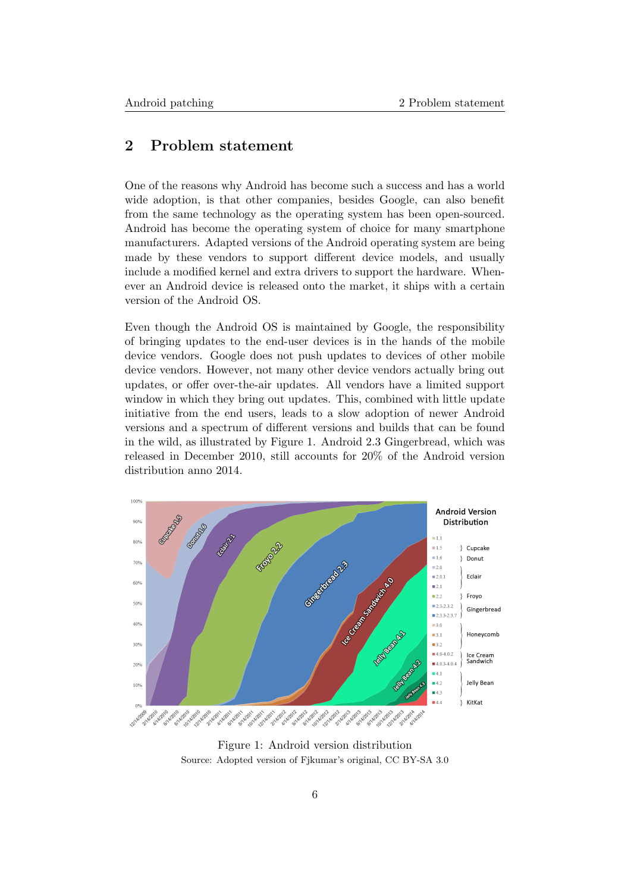# <span id="page-6-0"></span>2 Problem statement

One of the reasons why Android has become such a success and has a world wide adoption, is that other companies, besides Google, can also benefit from the same technology as the operating system has been open-sourced. Android has become the operating system of choice for many smartphone manufacturers. Adapted versions of the Android operating system are being made by these vendors to support different device models, and usually include a modified kernel and extra drivers to support the hardware. Whenever an Android device is released onto the market, it ships with a certain version of the Android OS.

Even though the Android OS is maintained by Google, the responsibility of bringing updates to the end-user devices is in the hands of the mobile device vendors. Google does not push updates to devices of other mobile device vendors. However, not many other device vendors actually bring out updates, or offer over-the-air updates. All vendors have a limited support window in which they bring out updates. This, combined with little update initiative from the end users, leads to a slow adoption of newer Android versions and a spectrum of different versions and builds that can be found in the wild, as illustrated by Figure [1.](#page-6-1) Android 2.3 Gingerbread, which was released in December 2010, still accounts for 20% of the Android version distribution anno 2014.

<span id="page-6-1"></span>

Figure 1: Android version distribution Source: Adopted version of Fjkumar's original, [CC BY-SA 3.0](http://creativecommons.org/licenses/by-sa/3.0/)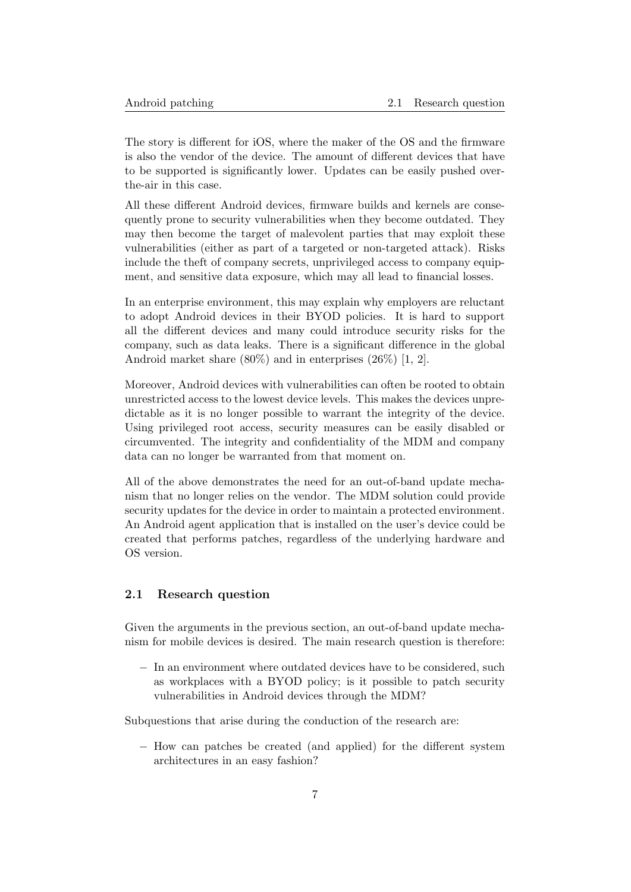The story is different for iOS, where the maker of the OS and the firmware is also the vendor of the device. The amount of different devices that have to be supported is significantly lower. Updates can be easily pushed overthe-air in this case.

All these different Android devices, firmware builds and kernels are consequently prone to security vulnerabilities when they become outdated. They may then become the target of malevolent parties that may exploit these vulnerabilities (either as part of a targeted or non-targeted attack). Risks include the theft of company secrets, unprivileged access to company equipment, and sensitive data exposure, which may all lead to financial losses.

In an enterprise environment, this may explain why employers are reluctant to adopt Android devices in their BYOD policies. It is hard to support all the different devices and many could introduce security risks for the company, such as data leaks. There is a significant difference in the global Android market share (80%) and in enterprises (26%) [\[1,](#page-38-1) [2\]](#page-38-2).

Moreover, Android devices with vulnerabilities can often be rooted to obtain unrestricted access to the lowest device levels. This makes the devices unpredictable as it is no longer possible to warrant the integrity of the device. Using privileged root access, security measures can be easily disabled or circumvented. The integrity and confidentiality of the MDM and company data can no longer be warranted from that moment on.

All of the above demonstrates the need for an out-of-band update mechanism that no longer relies on the vendor. The MDM solution could provide security updates for the device in order to maintain a protected environment. An Android agent application that is installed on the user's device could be created that performs patches, regardless of the underlying hardware and OS version.

# <span id="page-7-0"></span>2.1 Research question

Given the arguments in the previous section, an out-of-band update mechanism for mobile devices is desired. The main research question is therefore:

− In an environment where outdated devices have to be considered, such as workplaces with a BYOD policy; is it possible to patch security vulnerabilities in Android devices through the MDM?

Subquestions that arise during the conduction of the research are:

− How can patches be created (and applied) for the different system architectures in an easy fashion?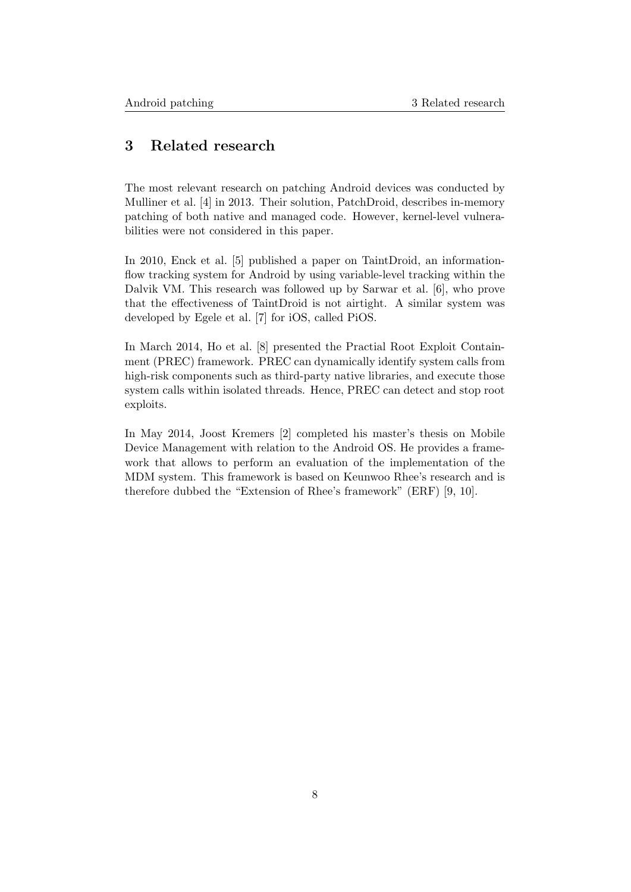# <span id="page-8-0"></span>3 Related research

The most relevant research on patching Android devices was conducted by Mulliner et al. [\[4\]](#page-38-4) in 2013. Their solution, PatchDroid, describes in-memory patching of both native and managed code. However, kernel-level vulnerabilities were not considered in this paper.

In 2010, Enck et al. [\[5\]](#page-38-5) published a paper on TaintDroid, an informationflow tracking system for Android by using variable-level tracking within the Dalvik VM. This research was followed up by Sarwar et al. [\[6\]](#page-38-6), who prove that the effectiveness of TaintDroid is not airtight. A similar system was developed by Egele et al. [\[7\]](#page-38-7) for iOS, called PiOS.

In March 2014, Ho et al. [\[8\]](#page-38-8) presented the Practial Root Exploit Containment (PREC) framework. PREC can dynamically identify system calls from high-risk components such as third-party native libraries, and execute those system calls within isolated threads. Hence, PREC can detect and stop root exploits.

In May 2014, Joost Kremers [\[2\]](#page-38-2) completed his master's thesis on Mobile Device Management with relation to the Android OS. He provides a framework that allows to perform an evaluation of the implementation of the MDM system. This framework is based on Keunwoo Rhee's research and is therefore dubbed the "Extension of Rhee's framework" (ERF) [\[9,](#page-38-9) [10\]](#page-38-10).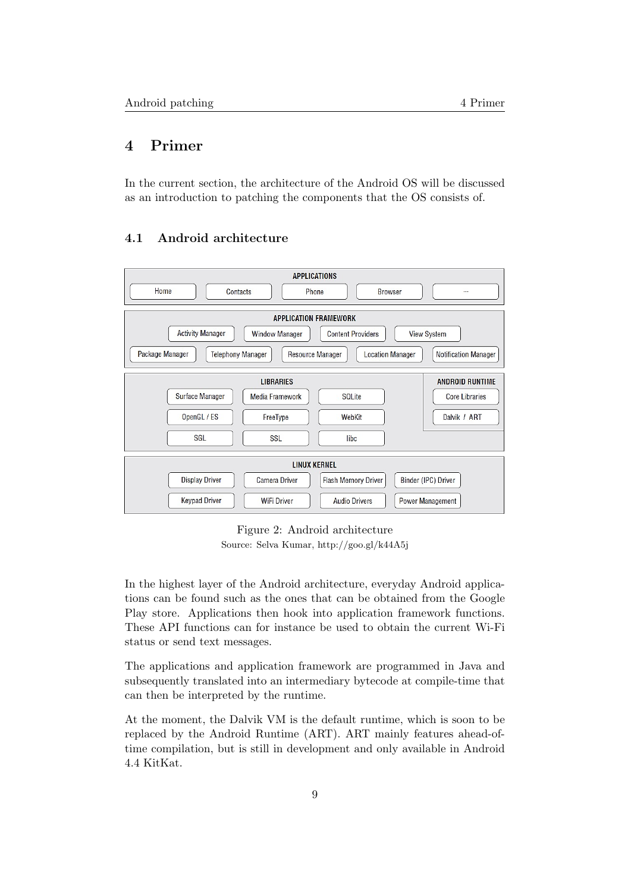# <span id="page-9-0"></span>4 Primer

<span id="page-9-1"></span>In the current section, the architecture of the Android OS will be discussed as an introduction to patching the components that the OS consists of.

|                                                                                                    |                      | <b>APPLICATIONS</b>                                |                             |
|----------------------------------------------------------------------------------------------------|----------------------|----------------------------------------------------|-----------------------------|
| Home<br>Contacts                                                                                   |                      | Phone<br><b>Browser</b>                            |                             |
|                                                                                                    |                      | <b>APPLICATION FRAMEWORK</b>                       |                             |
| <b>Activity Manager</b><br><b>Content Providers</b><br><b>View System</b><br><b>Window Manager</b> |                      |                                                    |                             |
| Package Manager<br><b>Telephony Manager</b>                                                        |                      | <b>Location Manager</b><br><b>Resource Manager</b> | <b>Notification Manager</b> |
|                                                                                                    | <b>LIBRARIES</b>     |                                                    | <b>ANDROID RUNTIME</b>      |
| Surface Manager                                                                                    | Media Framework      | <b>SQLite</b>                                      | <b>Core Libraries</b>       |
| OpenGL/ES                                                                                          | FreeType             | WebKit                                             | Dalvik / ART                |
| <b>SGL</b>                                                                                         | <b>SSL</b>           | libc                                               |                             |
| <b>LINUX KERNEL</b>                                                                                |                      |                                                    |                             |
| <b>Display Driver</b>                                                                              | <b>Camera Driver</b> | <b>Flash Memory Driver</b>                         | Binder (IPC) Driver         |
| <b>Keypad Driver</b>                                                                               | <b>WiFi Driver</b>   | <b>Audio Drivers</b>                               | Power Management            |

# 4.1 Android architecture

Figure 2: Android architecture Source: Selva Kumar, <http://goo.gl/k44A5j>

In the highest layer of the Android architecture, everyday Android applications can be found such as the ones that can be obtained from the Google Play store. Applications then hook into application framework functions. These API functions can for instance be used to obtain the current Wi-Fi status or send text messages.

The applications and application framework are programmed in Java and subsequently translated into an intermediary bytecode at compile-time that can then be interpreted by the runtime.

<span id="page-9-2"></span>At the moment, the Dalvik VM is the default runtime, which is soon to be replaced by the Android Runtime (ART). ART mainly features ahead-oftime compilation, but is still in development and only available in Android 4.4 KitKat.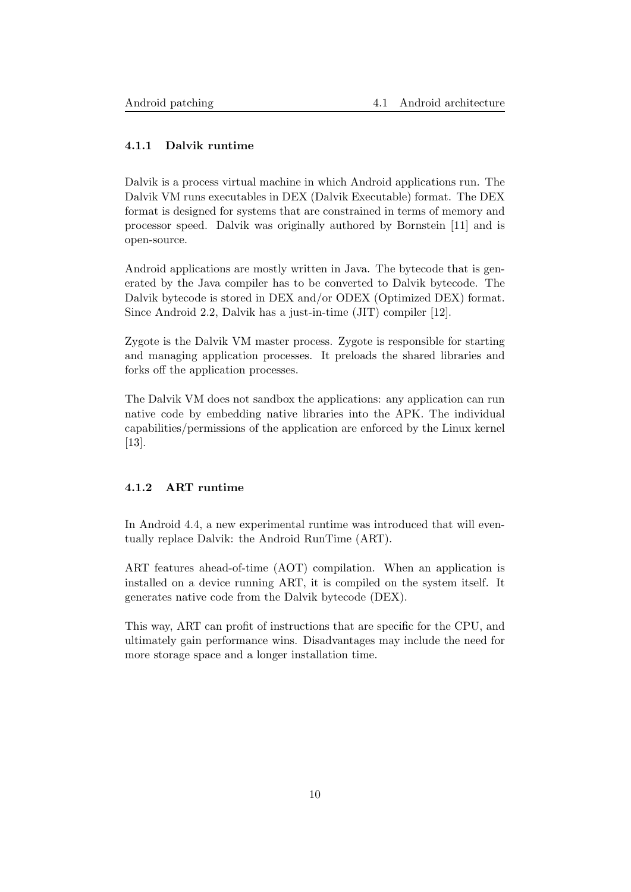# 4.1.1 Dalvik runtime

Dalvik is a process virtual machine in which Android applications run. The Dalvik VM runs executables in DEX (Dalvik Executable) format. The DEX format is designed for systems that are constrained in terms of memory and processor speed. Dalvik was originally authored by Bornstein [\[11\]](#page-38-11) and is open-source.

Android applications are mostly written in Java. The bytecode that is generated by the Java compiler has to be converted to Dalvik bytecode. The Dalvik bytecode is stored in DEX and/or ODEX (Optimized DEX) format. Since Android 2.2, Dalvik has a just-in-time (JIT) compiler [\[12\]](#page-38-12).

Zygote is the Dalvik VM master process. Zygote is responsible for starting and managing application processes. It preloads the shared libraries and forks off the application processes.

The Dalvik VM does not sandbox the applications: any application can run native code by embedding native libraries into the APK. The individual capabilities/permissions of the application are enforced by the Linux kernel [\[13\]](#page-39-0).

### <span id="page-10-0"></span>4.1.2 ART runtime

In Android 4.4, a new experimental runtime was introduced that will eventually replace Dalvik: the Android RunTime (ART).

ART features ahead-of-time (AOT) compilation. When an application is installed on a device running ART, it is compiled on the system itself. It generates native code from the Dalvik bytecode (DEX).

<span id="page-10-1"></span>This way, ART can profit of instructions that are specific for the CPU, and ultimately gain performance wins. Disadvantages may include the need for more storage space and a longer installation time.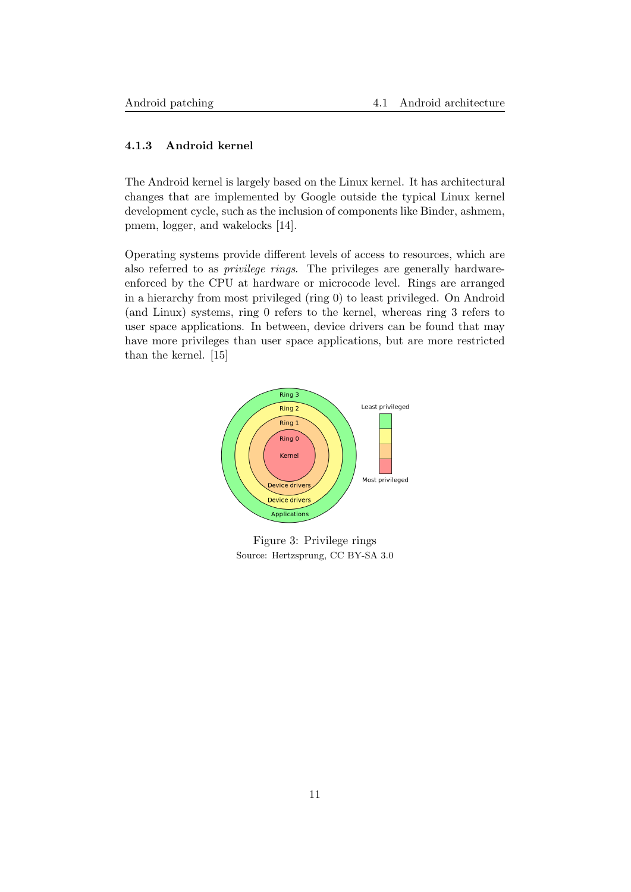### 4.1.3 Android kernel

The Android kernel is largely based on the Linux kernel. It has architectural changes that are implemented by Google outside the typical Linux kernel development cycle, such as the inclusion of components like Binder, ashmem, pmem, logger, and wakelocks [\[14\]](#page-39-1).

Operating systems provide different levels of access to resources, which are also referred to as privilege rings. The privileges are generally hardwareenforced by the CPU at hardware or microcode level. Rings are arranged in a hierarchy from most privileged (ring 0) to least privileged. On Android (and Linux) systems, ring 0 refers to the kernel, whereas ring 3 refers to user space applications. In between, device drivers can be found that may have more privileges than user space applications, but are more restricted than the kernel. [\[15\]](#page-39-2)



Figure 3: Privilege rings Source: Hertzsprung, [CC BY-SA 3.0](http://creativecommons.org/licenses/by-sa/3.0/)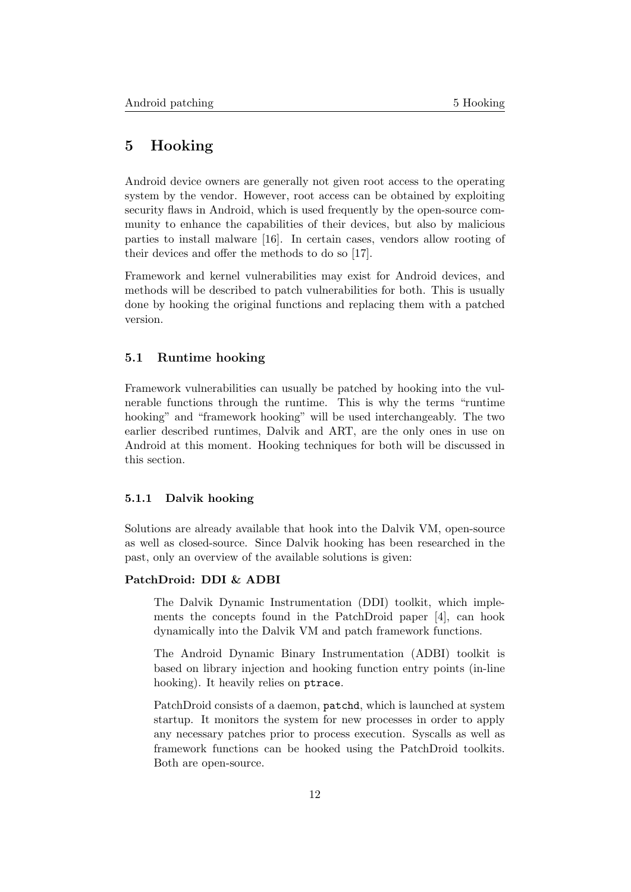# <span id="page-12-0"></span>5 Hooking

Android device owners are generally not given root access to the operating system by the vendor. However, root access can be obtained by exploiting security flaws in Android, which is used frequently by the open-source community to enhance the capabilities of their devices, but also by malicious parties to install malware [\[16\]](#page-39-3). In certain cases, vendors allow rooting of their devices and offer the methods to do so [\[17\]](#page-39-4).

Framework and kernel vulnerabilities may exist for Android devices, and methods will be described to patch vulnerabilities for both. This is usually done by hooking the original functions and replacing them with a patched version.

### <span id="page-12-1"></span>5.1 Runtime hooking

Framework vulnerabilities can usually be patched by hooking into the vulnerable functions through the runtime. This is why the terms "runtime hooking" and "framework hooking" will be used interchangeably. The two earlier described runtimes, Dalvik and ART, are the only ones in use on Android at this moment. Hooking techniques for both will be discussed in this section.

#### <span id="page-12-2"></span>5.1.1 Dalvik hooking

Solutions are already available that hook into the Dalvik VM, open-source as well as closed-source. Since Dalvik hooking has been researched in the past, only an overview of the available solutions is given:

## PatchDroid: DDI & ADBI

The Dalvik Dynamic Instrumentation (DDI) toolkit, which implements the concepts found in the PatchDroid paper [\[4\]](#page-38-4), can hook dynamically into the Dalvik VM and patch framework functions.

The Android Dynamic Binary Instrumentation (ADBI) toolkit is based on library injection and hooking function entry points (in-line hooking). It heavily relies on ptrace.

PatchDroid consists of a daemon, patchd, which is launched at system startup. It monitors the system for new processes in order to apply any necessary patches prior to process execution. Syscalls as well as framework functions can be hooked using the PatchDroid toolkits. Both are open-source.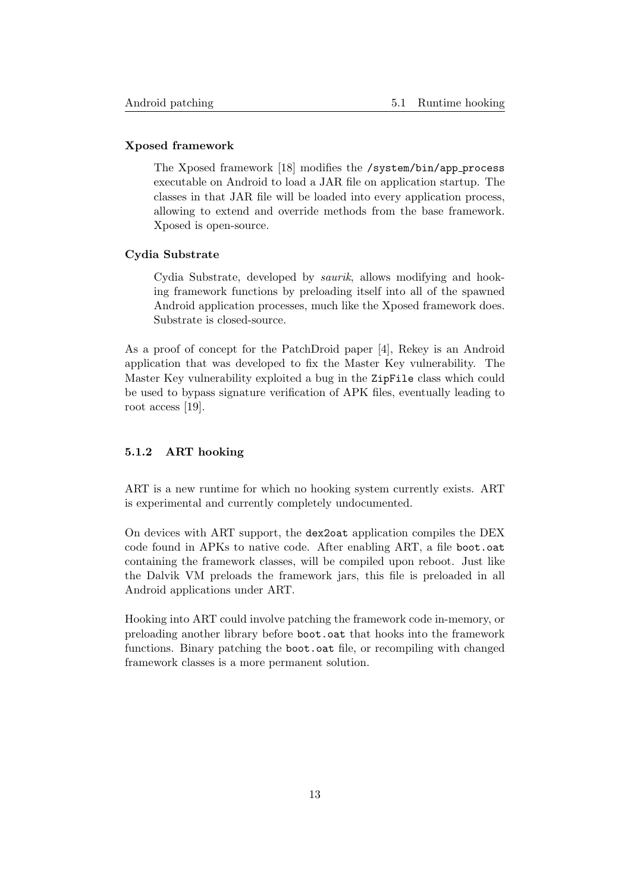### Xposed framework

The Xposed framework [\[18\]](#page-39-5) modifies the /system/bin/app process executable on Android to load a JAR file on application startup. The classes in that JAR file will be loaded into every application process, allowing to extend and override methods from the base framework. Xposed is open-source.

#### Cydia Substrate

Cydia Substrate, developed by saurik, allows modifying and hooking framework functions by preloading itself into all of the spawned Android application processes, much like the Xposed framework does. Substrate is closed-source.

As a proof of concept for the PatchDroid paper [\[4\]](#page-38-4), Rekey is an Android application that was developed to fix the Master Key vulnerability. The Master Key vulnerability exploited a bug in the ZipFile class which could be used to bypass signature verification of APK files, eventually leading to root access [\[19\]](#page-39-6).

# <span id="page-13-0"></span>5.1.2 ART hooking

ART is a new runtime for which no hooking system currently exists. ART is experimental and currently completely undocumented.

On devices with ART support, the dex2oat application compiles the DEX code found in APKs to native code. After enabling ART, a file boot.oat containing the framework classes, will be compiled upon reboot. Just like the Dalvik VM preloads the framework jars, this file is preloaded in all Android applications under ART.

Hooking into ART could involve patching the framework code in-memory, or preloading another library before boot.oat that hooks into the framework functions. Binary patching the boot.oat file, or recompiling with changed framework classes is a more permanent solution.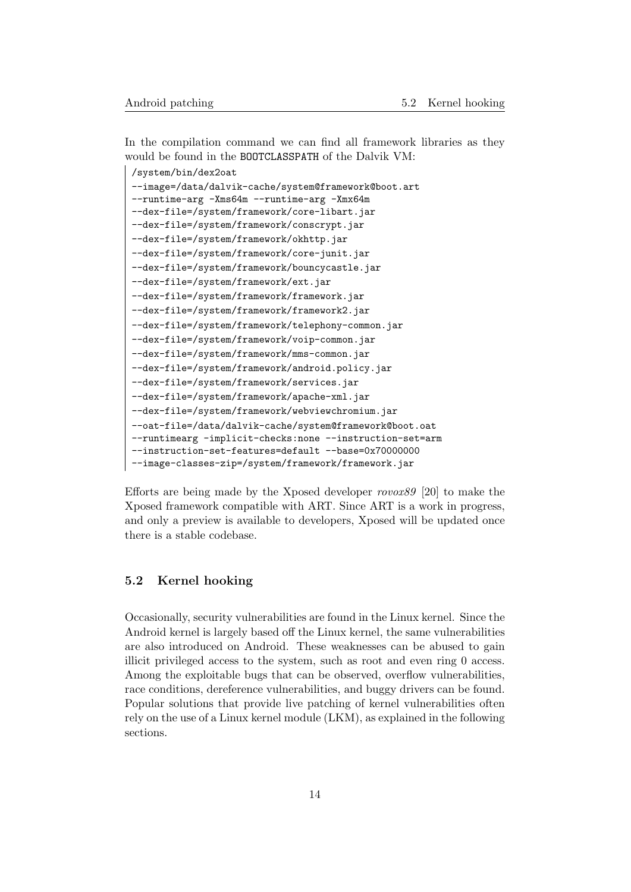In the compilation command we can find all framework libraries as they would be found in the BOOTCLASSPATH of the Dalvik VM:

```
/system/bin/dex2oat
--image=/data/dalvik-cache/system@framework@boot.art
--runtime-arg -Xms64m --runtime-arg -Xmx64m
--dex-file=/system/framework/core-libart.jar
--dex-file=/system/framework/conscrypt.jar
--dex-file=/system/framework/okhttp.jar
--dex-file=/system/framework/core-junit.jar
--dex-file=/system/framework/bouncycastle.jar
--dex-file=/system/framework/ext.jar
--dex-file=/system/framework/framework.jar
--dex-file=/system/framework/framework2.jar
--dex-file=/system/framework/telephony-common.jar
--dex-file=/system/framework/voip-common.jar
--dex-file=/system/framework/mms-common.jar
--dex-file=/system/framework/android.policy.jar
--dex-file=/system/framework/services.jar
--dex-file=/system/framework/apache-xml.jar
--dex-file=/system/framework/webviewchromium.jar
--oat-file=/data/dalvik-cache/system@framework@boot.oat
--runtimearg -implicit-checks:none --instruction-set=arm
--instruction-set-features=default --base=0x70000000
--image-classes-zip=/system/framework/framework.jar
```
Efforts are being made by the Xposed developer rovox89 [\[20\]](#page-39-7) to make the Xposed framework compatible with ART. Since ART is a work in progress, and only a preview is available to developers, Xposed will be updated once there is a stable codebase.

# <span id="page-14-0"></span>5.2 Kernel hooking

Occasionally, security vulnerabilities are found in the Linux kernel. Since the Android kernel is largely based off the Linux kernel, the same vulnerabilities are also introduced on Android. These weaknesses can be abused to gain illicit privileged access to the system, such as root and even ring 0 access. Among the exploitable bugs that can be observed, overflow vulnerabilities, race conditions, dereference vulnerabilities, and buggy drivers can be found. Popular solutions that provide live patching of kernel vulnerabilities often rely on the use of a Linux kernel module (LKM), as explained in the following sections.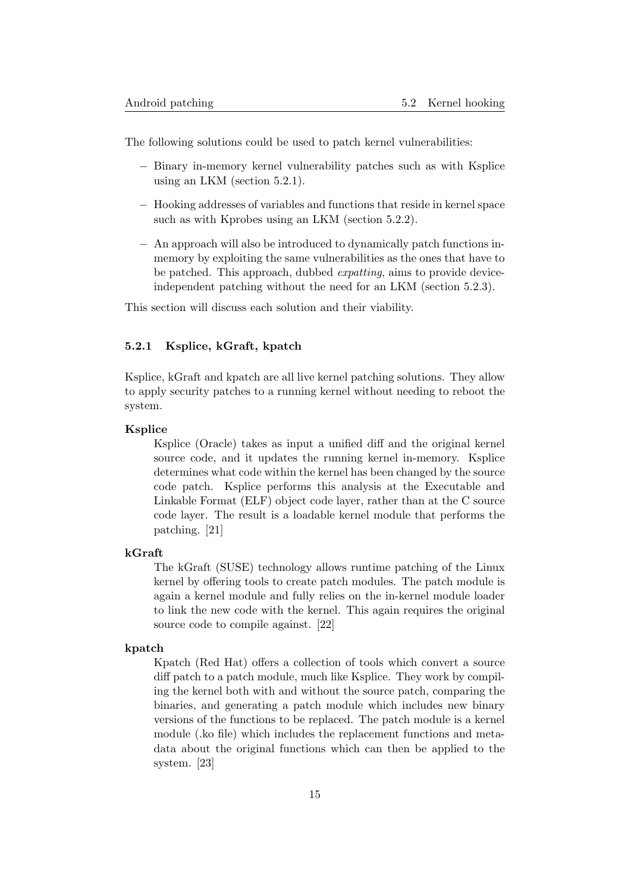The following solutions could be used to patch kernel vulnerabilities:

- − Binary in-memory kernel vulnerability patches such as with Ksplice using an LKM (section [5.2.1\)](#page-15-0).
- − Hooking addresses of variables and functions that reside in kernel space such as with Kprobes using an LKM (section [5.2.2\)](#page-16-0).
- − An approach will also be introduced to dynamically patch functions inmemory by exploiting the same vulnerabilities as the ones that have to be patched. This approach, dubbed expatting, aims to provide deviceindependent patching without the need for an LKM (section [5.2.3\)](#page-17-0).

<span id="page-15-0"></span>This section will discuss each solution and their viability.

# 5.2.1 Ksplice, kGraft, kpatch

Ksplice, kGraft and kpatch are all live kernel patching solutions. They allow to apply security patches to a running kernel without needing to reboot the system.

# Ksplice

Ksplice (Oracle) takes as input a unified diff and the original kernel source code, and it updates the running kernel in-memory. Ksplice determines what code within the kernel has been changed by the source code patch. Ksplice performs this analysis at the Executable and Linkable Format (ELF) object code layer, rather than at the C source code layer. The result is a loadable kernel module that performs the patching. [\[21\]](#page-39-8)

#### kGraft

The kGraft (SUSE) technology allows runtime patching of the Linux kernel by offering tools to create patch modules. The patch module is again a kernel module and fully relies on the in-kernel module loader to link the new code with the kernel. This again requires the original source code to compile against. [\[22\]](#page-39-9)

#### kpatch

Kpatch (Red Hat) offers a collection of tools which convert a source diff patch to a patch module, much like Ksplice. They work by compiling the kernel both with and without the source patch, comparing the binaries, and generating a patch module which includes new binary versions of the functions to be replaced. The patch module is a kernel module (.ko file) which includes the replacement functions and metadata about the original functions which can then be applied to the system. [\[23\]](#page-39-10)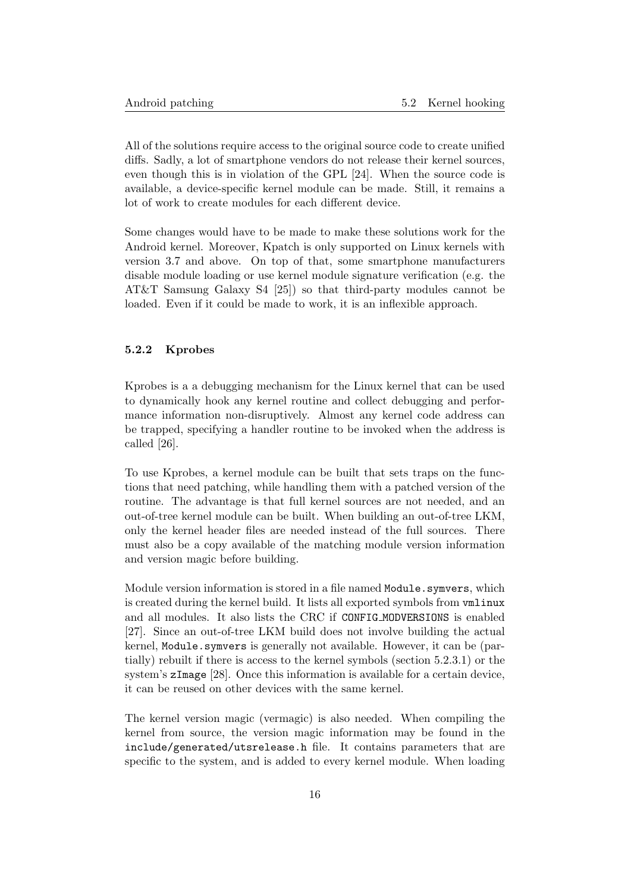All of the solutions require access to the original source code to create unified diffs. Sadly, a lot of smartphone vendors do not release their kernel sources, even though this is in violation of the GPL [\[24\]](#page-39-11). When the source code is available, a device-specific kernel module can be made. Still, it remains a lot of work to create modules for each different device.

Some changes would have to be made to make these solutions work for the Android kernel. Moreover, Kpatch is only supported on Linux kernels with version 3.7 and above. On top of that, some smartphone manufacturers disable module loading or use kernel module signature verification (e.g. the AT&T Samsung Galaxy S4 [\[25\]](#page-39-12)) so that third-party modules cannot be loaded. Even if it could be made to work, it is an inflexible approach.

#### <span id="page-16-0"></span>5.2.2 Kprobes

Kprobes is a a debugging mechanism for the Linux kernel that can be used to dynamically hook any kernel routine and collect debugging and performance information non-disruptively. Almost any kernel code address can be trapped, specifying a handler routine to be invoked when the address is called [\[26\]](#page-39-13).

To use Kprobes, a kernel module can be built that sets traps on the functions that need patching, while handling them with a patched version of the routine. The advantage is that full kernel sources are not needed, and an out-of-tree kernel module can be built. When building an out-of-tree LKM, only the kernel header files are needed instead of the full sources. There must also be a copy available of the matching module version information and version magic before building.

Module version information is stored in a file named Module.symvers, which is created during the kernel build. It lists all exported symbols from vmlinux and all modules. It also lists the CRC if CONFIG MODVERSIONS is enabled [\[27\]](#page-39-14). Since an out-of-tree LKM build does not involve building the actual kernel, Module.symvers is generally not available. However, it can be (partially) rebuilt if there is access to the kernel symbols (section [5.2.3.1\)](#page-17-1) or the system's zImage [\[28\]](#page-39-15). Once this information is available for a certain device, it can be reused on other devices with the same kernel.

The kernel version magic (vermagic) is also needed. When compiling the kernel from source, the version magic information may be found in the include/generated/utsrelease.h file. It contains parameters that are specific to the system, and is added to every kernel module. When loading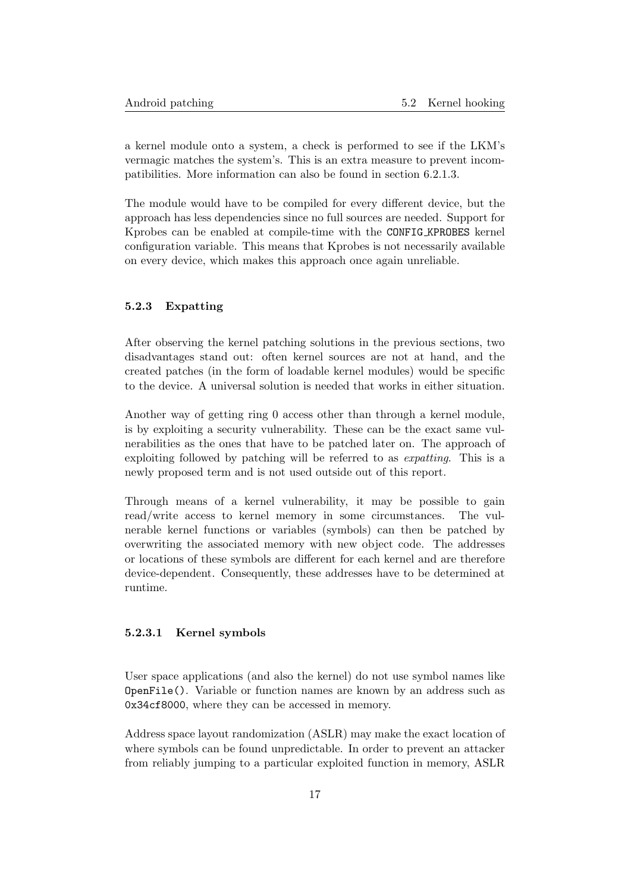a kernel module onto a system, a check is performed to see if the LKM's vermagic matches the system's. This is an extra measure to prevent incompatibilities. More information can also be found in section [6.2.1.3.](#page-28-0)

The module would have to be compiled for every different device, but the approach has less dependencies since no full sources are needed. Support for Kprobes can be enabled at compile-time with the CONFIG KPROBES kernel configuration variable. This means that Kprobes is not necessarily available on every device, which makes this approach once again unreliable.

# <span id="page-17-0"></span>5.2.3 Expatting

After observing the kernel patching solutions in the previous sections, two disadvantages stand out: often kernel sources are not at hand, and the created patches (in the form of loadable kernel modules) would be specific to the device. A universal solution is needed that works in either situation.

Another way of getting ring 0 access other than through a kernel module, is by exploiting a security vulnerability. These can be the exact same vulnerabilities as the ones that have to be patched later on. The approach of exploiting followed by patching will be referred to as expatting. This is a newly proposed term and is not used outside out of this report.

Through means of a kernel vulnerability, it may be possible to gain read/write access to kernel memory in some circumstances. The vulnerable kernel functions or variables (symbols) can then be patched by overwriting the associated memory with new object code. The addresses or locations of these symbols are different for each kernel and are therefore device-dependent. Consequently, these addresses have to be determined at runtime.

#### <span id="page-17-1"></span>5.2.3.1 Kernel symbols

User space applications (and also the kernel) do not use symbol names like OpenFile(). Variable or function names are known by an address such as 0x34cf8000, where they can be accessed in memory.

Address space layout randomization (ASLR) may make the exact location of where symbols can be found unpredictable. In order to prevent an attacker from reliably jumping to a particular exploited function in memory, ASLR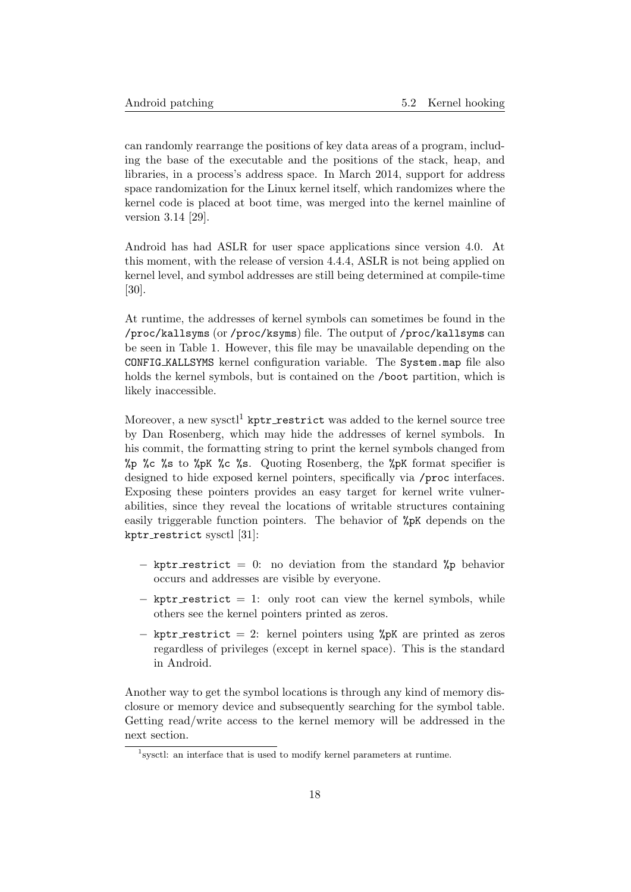can randomly rearrange the positions of key data areas of a program, including the base of the executable and the positions of the stack, heap, and libraries, in a process's address space. In March 2014, support for address space randomization for the Linux kernel itself, which randomizes where the kernel code is placed at boot time, was merged into the kernel mainline of version 3.14 [\[29\]](#page-39-16).

Android has had ASLR for user space applications since version 4.0. At this moment, with the release of version 4.4.4, ASLR is not being applied on kernel level, and symbol addresses are still being determined at compile-time [\[30\]](#page-39-17).

At runtime, the addresses of kernel symbols can sometimes be found in the /proc/kallsyms (or /proc/ksyms) file. The output of /proc/kallsyms can be seen in Table [1.](#page-19-1) However, this file may be unavailable depending on the CONFIG KALLSYMS kernel configuration variable. The System.map file also holds the kernel symbols, but is contained on the /boot partition, which is likely inaccessible.

Moreover, a new sysctl<sup>[1](#page-18-0)</sup> kptr\_restrict was added to the kernel source tree by Dan Rosenberg, which may hide the addresses of kernel symbols. In his commit, the formatting string to print the kernel symbols changed from %p %c %s to %pK %c %s. Quoting Rosenberg, the %pK format specifier is designed to hide exposed kernel pointers, specifically via /proc interfaces. Exposing these pointers provides an easy target for kernel write vulnerabilities, since they reveal the locations of writable structures containing easily triggerable function pointers. The behavior of %pK depends on the  $kptr\_restrict$  sysctl [\[31\]](#page-39-18):

- − kptr restrict = 0: no deviation from the standard %p behavior occurs and addresses are visible by everyone.
- $-$  kptr\_restrict  $= 1$ : only root can view the kernel symbols, while others see the kernel pointers printed as zeros.
- − kptr restrict = 2: kernel pointers using %pK are printed as zeros regardless of privileges (except in kernel space). This is the standard in Android.

Another way to get the symbol locations is through any kind of memory disclosure or memory device and subsequently searching for the symbol table. Getting read/write access to the kernel memory will be addressed in the next section.

<span id="page-18-0"></span><sup>&</sup>lt;sup>1</sup> sysctl: an interface that is used to modify kernel parameters at runtime.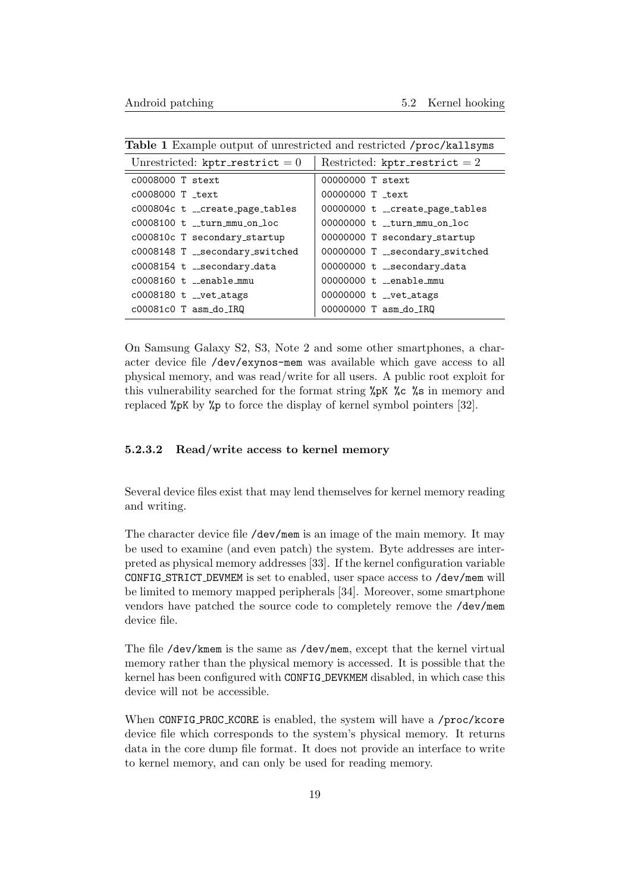| Unrestricted: kptr_restrict = $0$   | Restricted: kptr_restrict = 2   |
|-------------------------------------|---------------------------------|
| $c0008000$ T stext                  | 00000000 T stext                |
| $c0008000$ T $_{\text{text}}$       | 00000000 T text                 |
| c000804c t __create_page_tables     | 00000000 t __create_page_tables |
| $c0008100$ t turn mmu on $loc$      | 00000000 t turn mmu on loc      |
| c000810c T secondary_startup        | 00000000 T secondary_startup    |
| $c0008148$ T $-$ secondary_switched | 00000000 T __secondary_switched |
| c0008154 t __secondary_data         | 00000000 t __secondary_data     |
| $c0008160$ t enable mmu             | $00000000$ t. enable mmu        |
| $c0008180$ t $-c$ vet_atags         | 00000000 t __vet_atags          |
| $c00081c0$ T asm_do_IRQ             | 00000000 T asm_do_IRQ           |

<span id="page-19-1"></span>Table 1 Example output of unrestricted and restricted /proc/kallsyms

On Samsung Galaxy S2, S3, Note 2 and some other smartphones, a character device file /dev/exynos-mem was available which gave access to all physical memory, and was read/write for all users. A public root exploit for this vulnerability searched for the format string %pK %c %s in memory and replaced %pK by %p to force the display of kernel symbol pointers [\[32\]](#page-39-19).

# <span id="page-19-0"></span>5.2.3.2 Read/write access to kernel memory

Several device files exist that may lend themselves for kernel memory reading and writing.

The character device file /dev/mem is an image of the main memory. It may be used to examine (and even patch) the system. Byte addresses are interpreted as physical memory addresses [\[33\]](#page-40-0). If the kernel configuration variable CONFIG STRICT DEVMEM is set to enabled, user space access to /dev/mem will be limited to memory mapped peripherals [\[34\]](#page-40-1). Moreover, some smartphone vendors have patched the source code to completely remove the /dev/mem device file.

The file /dev/kmem is the same as /dev/mem, except that the kernel virtual memory rather than the physical memory is accessed. It is possible that the kernel has been configured with CONFIG DEVKMEM disabled, in which case this device will not be accessible.

When CONFIG\_PROC\_KCORE is enabled, the system will have a /proc/kcore device file which corresponds to the system's physical memory. It returns data in the core dump file format. It does not provide an interface to write to kernel memory, and can only be used for reading memory.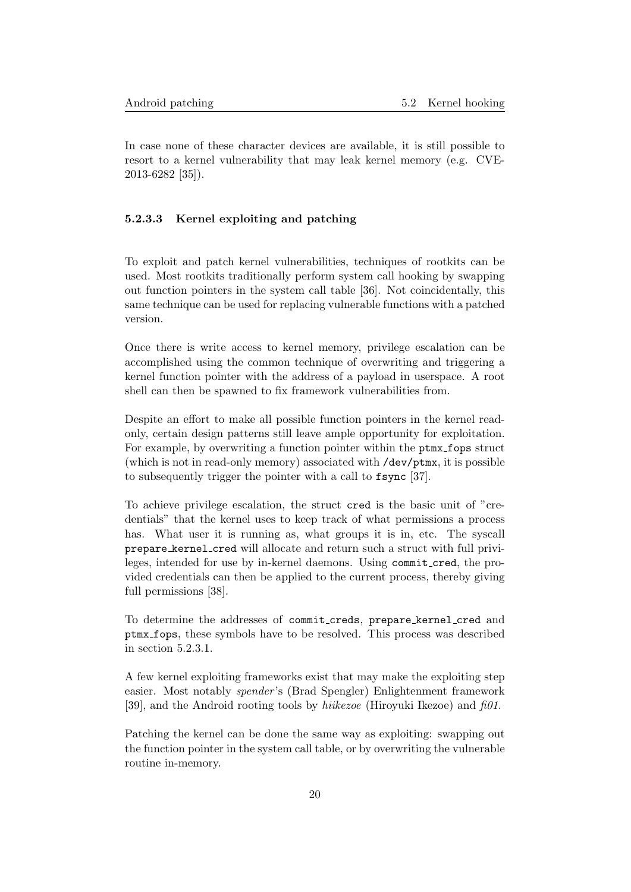In case none of these character devices are available, it is still possible to resort to a kernel vulnerability that may leak kernel memory (e.g. CVE-2013-6282 [\[35\]](#page-40-2)).

#### <span id="page-20-0"></span>5.2.3.3 Kernel exploiting and patching

To exploit and patch kernel vulnerabilities, techniques of rootkits can be used. Most rootkits traditionally perform system call hooking by swapping out function pointers in the system call table [\[36\]](#page-40-3). Not coincidentally, this same technique can be used for replacing vulnerable functions with a patched version.

Once there is write access to kernel memory, privilege escalation can be accomplished using the common technique of overwriting and triggering a kernel function pointer with the address of a payload in userspace. A root shell can then be spawned to fix framework vulnerabilities from.

Despite an effort to make all possible function pointers in the kernel readonly, certain design patterns still leave ample opportunity for exploitation. For example, by overwriting a function pointer within the ptmx\_fops struct (which is not in read-only memory) associated with /dev/ptmx, it is possible to subsequently trigger the pointer with a call to fsync [\[37\]](#page-40-4).

To achieve privilege escalation, the struct cred is the basic unit of "credentials" that the kernel uses to keep track of what permissions a process has. What user it is running as, what groups it is in, etc. The syscall prepare kernel cred will allocate and return such a struct with full privileges, intended for use by in-kernel daemons. Using commit cred, the provided credentials can then be applied to the current process, thereby giving full permissions [\[38\]](#page-40-5).

To determine the addresses of commit creds, prepare kernel cred and ptmx fops, these symbols have to be resolved. This process was described in section [5.2.3.1.](#page-17-1)

A few kernel exploiting frameworks exist that may make the exploiting step easier. Most notably spender 's (Brad Spengler) Enlightenment framework [\[39\]](#page-40-6), and the Android rooting tools by *hiikezoe* (Hiroyuki Ikezoe) and  $f_0 \theta$ .

<span id="page-20-1"></span>Patching the kernel can be done the same way as exploiting: swapping out the function pointer in the system call table, or by overwriting the vulnerable routine in-memory.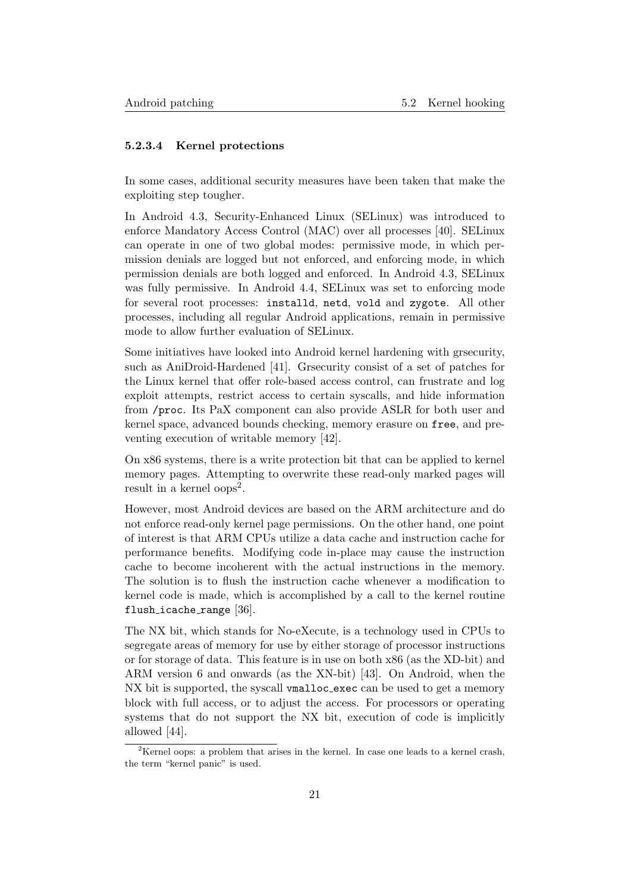# 5.2.3.4 Kernel protections

In some cases, additional security measures have been taken that make the exploiting step tougher.

In Android 4.3, Security-Enhanced Linux (SELinux) was introduced to enforce Mandatory Access Control (MAC) over all processes [\[40\]](#page-40-7). SELinux can operate in one of two global modes: permissive mode, in which permission denials are logged but not enforced, and enforcing mode, in which permission denials are both logged and enforced. In Android 4.3, SELinux was fully permissive. In Android 4.4, SELinux was set to enforcing mode for several root processes: installd, netd, vold and zygote. All other processes, including all regular Android applications, remain in permissive mode to allow further evaluation of SELinux.

Some initiatives have looked into Android kernel hardening with grsecurity, such as AniDroid-Hardened [\[41\]](#page-40-8). Grsecurity consist of a set of patches for the Linux kernel that offer role-based access control, can frustrate and log exploit attempts, restrict access to certain syscalls, and hide information from /proc. Its PaX component can also provide ASLR for both user and kernel space, advanced bounds checking, memory erasure on free, and preventing execution of writable memory [\[42\]](#page-40-9).

On x86 systems, there is a write protection bit that can be applied to kernel memory pages. Attempting to overwrite these read-only marked pages will result in a kernel  $\text{cops}^2$  $\text{cops}^2$ .

However, most Android devices are based on the ARM architecture and do not enforce read-only kernel page permissions. On the other hand, one point of interest is that ARM CPUs utilize a data cache and instruction cache for performance benefits. Modifying code in-place may cause the instruction cache to become incoherent with the actual instructions in the memory. The solution is to flush the instruction cache whenever a modification to kernel code is made, which is accomplished by a call to the kernel routine flush icache range [\[36\]](#page-40-3).

The NX bit, which stands for No-eXecute, is a technology used in CPUs to segregate areas of memory for use by either storage of processor instructions or for storage of data. This feature is in use on both x86 (as the XD-bit) and ARM version 6 and onwards (as the XN-bit) [\[43\]](#page-40-10). On Android, when the NX bit is supported, the syscall vmalloc exec can be used to get a memory block with full access, or to adjust the access. For processors or operating systems that do not support the NX bit, execution of code is implicitly allowed [\[44\]](#page-40-11).

<span id="page-21-1"></span><span id="page-21-0"></span><sup>&</sup>lt;sup>2</sup>Kernel oops: a problem that arises in the kernel. In case one leads to a kernel crash, the term "kernel panic" is used.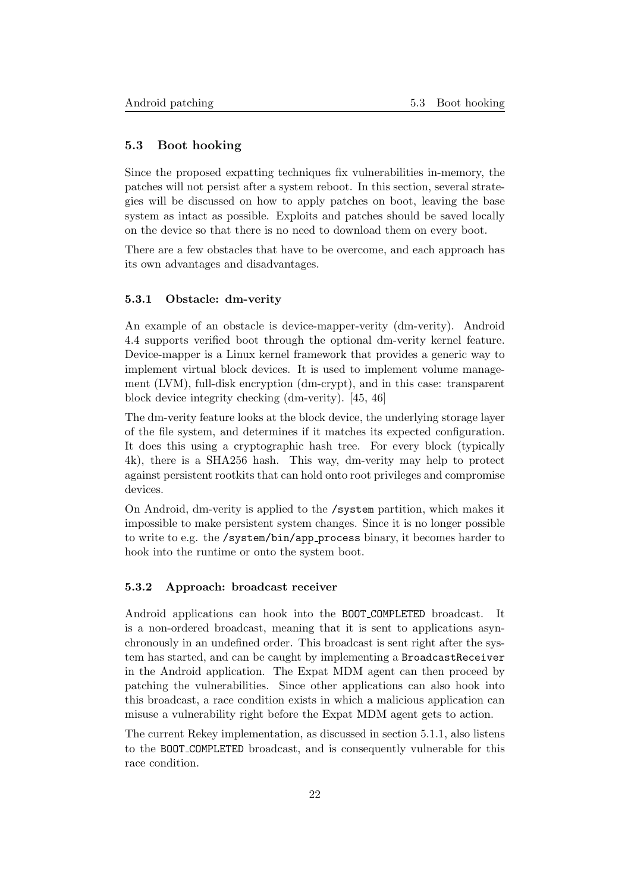### 5.3 Boot hooking

Since the proposed expatting techniques fix vulnerabilities in-memory, the patches will not persist after a system reboot. In this section, several strategies will be discussed on how to apply patches on boot, leaving the base system as intact as possible. Exploits and patches should be saved locally on the device so that there is no need to download them on every boot.

There are a few obstacles that have to be overcome, and each approach has its own advantages and disadvantages.

#### <span id="page-22-0"></span>5.3.1 Obstacle: dm-verity

An example of an obstacle is device-mapper-verity (dm-verity). Android 4.4 supports verified boot through the optional dm-verity kernel feature. Device-mapper is a Linux kernel framework that provides a generic way to implement virtual block devices. It is used to implement volume management (LVM), full-disk encryption (dm-crypt), and in this case: transparent block device integrity checking (dm-verity). [\[45,](#page-40-12) [46\]](#page-40-13)

The dm-verity feature looks at the block device, the underlying storage layer of the file system, and determines if it matches its expected configuration. It does this using a cryptographic hash tree. For every block (typically 4k), there is a SHA256 hash. This way, dm-verity may help to protect against persistent rootkits that can hold onto root privileges and compromise devices.

On Android, dm-verity is applied to the /system partition, which makes it impossible to make persistent system changes. Since it is no longer possible to write to e.g. the /system/bin/app process binary, it becomes harder to hook into the runtime or onto the system boot.

#### <span id="page-22-1"></span>5.3.2 Approach: broadcast receiver

Android applications can hook into the BOOT COMPLETED broadcast. It is a non-ordered broadcast, meaning that it is sent to applications asynchronously in an undefined order. This broadcast is sent right after the system has started, and can be caught by implementing a BroadcastReceiver in the Android application. The Expat MDM agent can then proceed by patching the vulnerabilities. Since other applications can also hook into this broadcast, a race condition exists in which a malicious application can misuse a vulnerability right before the Expat MDM agent gets to action.

<span id="page-22-2"></span>The current Rekey implementation, as discussed in section [5.1.1,](#page-12-2) also listens to the BOOT COMPLETED broadcast, and is consequently vulnerable for this race condition.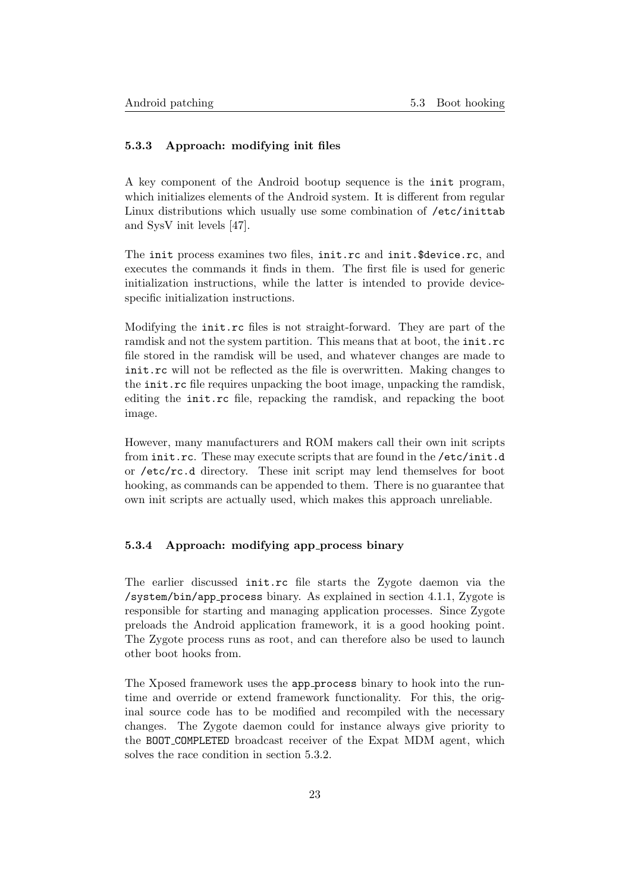# 5.3.3 Approach: modifying init files

A key component of the Android bootup sequence is the init program, which initializes elements of the Android system. It is different from regular Linux distributions which usually use some combination of /etc/inittab and SysV init levels [\[47\]](#page-40-14).

The init process examines two files, init.rc and init.\$device.rc, and executes the commands it finds in them. The first file is used for generic initialization instructions, while the latter is intended to provide devicespecific initialization instructions.

Modifying the init.rc files is not straight-forward. They are part of the ramdisk and not the system partition. This means that at boot, the init.rc file stored in the ramdisk will be used, and whatever changes are made to init.rc will not be reflected as the file is overwritten. Making changes to the init.rc file requires unpacking the boot image, unpacking the ramdisk, editing the init.rc file, repacking the ramdisk, and repacking the boot image.

However, many manufacturers and ROM makers call their own init scripts from init.rc. These may execute scripts that are found in the /etc/init.d or /etc/rc.d directory. These init script may lend themselves for boot hooking, as commands can be appended to them. There is no guarantee that own init scripts are actually used, which makes this approach unreliable.

#### <span id="page-23-0"></span>5.3.4 Approach: modifying app process binary

The earlier discussed init.rc file starts the Zygote daemon via the /system/bin/app process binary. As explained in section [4.1.1,](#page-9-2) Zygote is responsible for starting and managing application processes. Since Zygote preloads the Android application framework, it is a good hooking point. The Zygote process runs as root, and can therefore also be used to launch other boot hooks from.

The Xposed framework uses the app process binary to hook into the runtime and override or extend framework functionality. For this, the original source code has to be modified and recompiled with the necessary changes. The Zygote daemon could for instance always give priority to the BOOT COMPLETED broadcast receiver of the Expat MDM agent, which solves the race condition in section [5.3.2.](#page-22-1)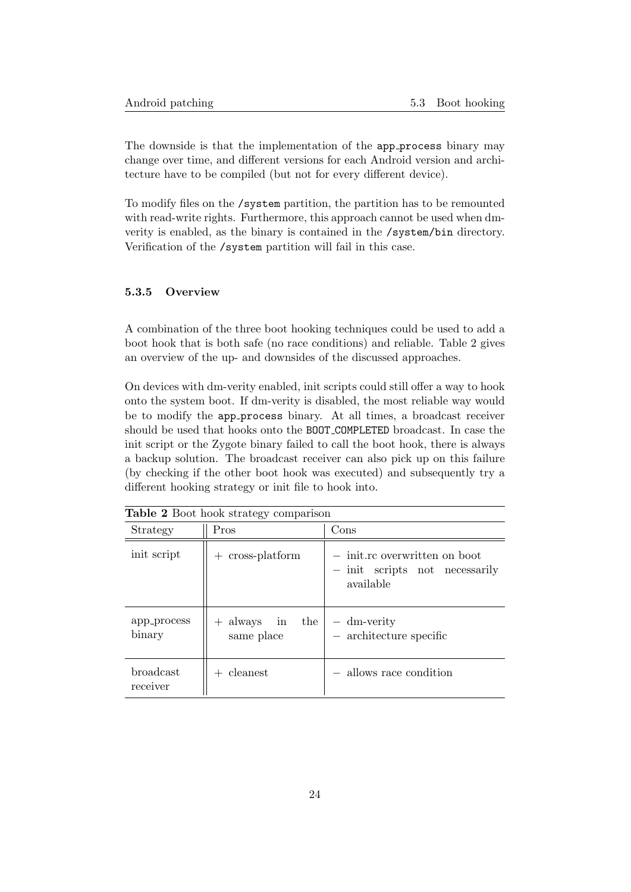The downside is that the implementation of the app process binary may change over time, and different versions for each Android version and architecture have to be compiled (but not for every different device).

To modify files on the /system partition, the partition has to be remounted with read-write rights. Furthermore, this approach cannot be used when dmverity is enabled, as the binary is contained in the /system/bin directory. Verification of the /system partition will fail in this case.

#### <span id="page-24-0"></span>5.3.5 Overview

A combination of the three boot hooking techniques could be used to add a boot hook that is both safe (no race conditions) and reliable. Table [2](#page-24-2) gives an overview of the up- and downsides of the discussed approaches.

On devices with dm-verity enabled, init scripts could still offer a way to hook onto the system boot. If dm-verity is disabled, the most reliable way would be to modify the app process binary. At all times, a broadcast receiver should be used that hooks onto the BOOT COMPLETED broadcast. In case the init script or the Zygote binary failed to call the boot hook, there is always a backup solution. The broadcast receiver can also pick up on this failure (by checking if the other boot hook was executed) and subsequently try a different hooking strategy or init file to hook into.

<span id="page-24-1"></span>

| <b>Table 2 Boot hook strategy comparison</b> |                                       |                                                                               |
|----------------------------------------------|---------------------------------------|-------------------------------------------------------------------------------|
| Strategy                                     | Pros                                  | Cons                                                                          |
| init script                                  | cross-platform<br>$+$                 | $-$ initre overwritten on boot<br>- init scripts not necessarily<br>available |
| app_process<br>binary                        | always in the<br>$^{+}$<br>same place | - dm-verity<br>$-$ architecture specific                                      |
| broadcast<br>receiver                        | cleanest                              | allows race condition                                                         |

<span id="page-24-2"></span>Table 2 Boot hook strategy comparison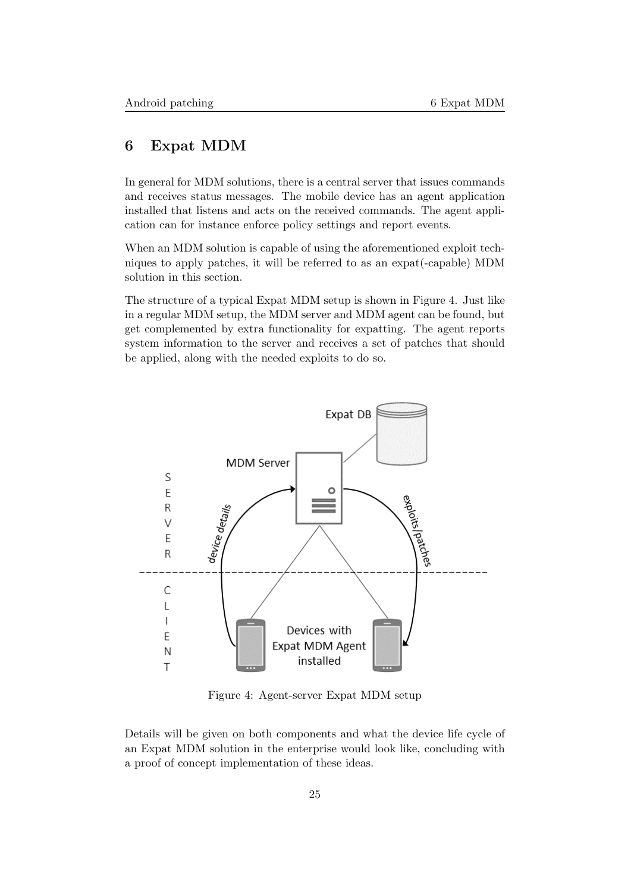# 6 Expat MDM

In general for MDM solutions, there is a central server that issues commands and receives status messages. The mobile device has an agent application installed that listens and acts on the received commands. The agent application can for instance enforce policy settings and report events.

When an MDM solution is capable of using the aforementioned exploit techniques to apply patches, it will be referred to as an expat(-capable) MDM solution in this section.

The structure of a typical Expat MDM setup is shown in Figure [4.](#page-25-1) Just like in a regular MDM setup, the MDM server and MDM agent can be found, but get complemented by extra functionality for expatting. The agent reports system information to the server and receives a set of patches that should be applied, along with the needed exploits to do so.

<span id="page-25-1"></span>

Figure 4: Agent-server Expat MDM setup

<span id="page-25-0"></span>Details will be given on both components and what the device life cycle of an Expat MDM solution in the enterprise would look like, concluding with a proof of concept implementation of these ideas.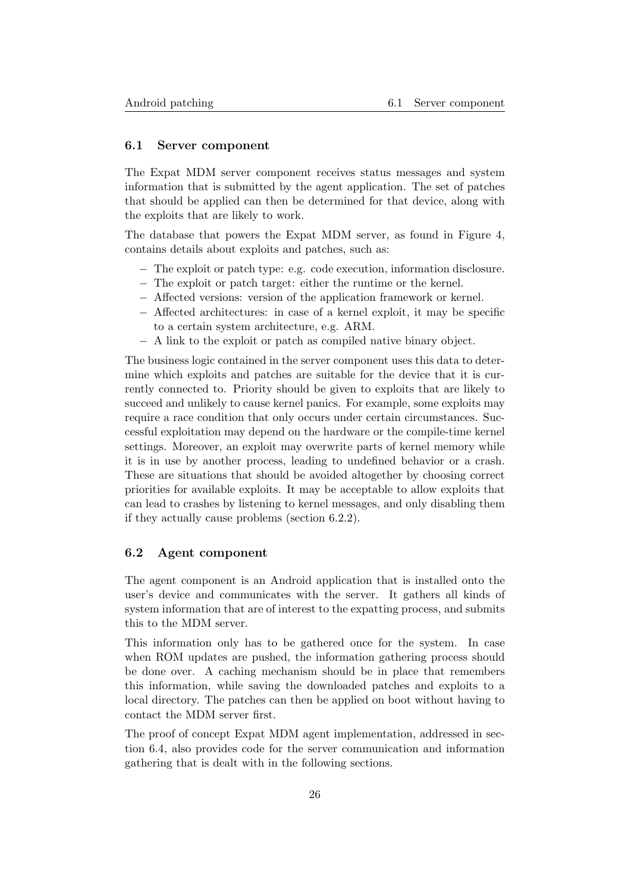### 6.1 Server component

The Expat MDM server component receives status messages and system information that is submitted by the agent application. The set of patches that should be applied can then be determined for that device, along with the exploits that are likely to work.

The database that powers the Expat MDM server, as found in Figure [4,](#page-25-1) contains details about exploits and patches, such as:

- − The exploit or patch type: e.g. code execution, information disclosure.
- − The exploit or patch target: either the runtime or the kernel.
- − Affected versions: version of the application framework or kernel.
- − Affected architectures: in case of a kernel exploit, it may be specific to a certain system architecture, e.g. ARM.
- − A link to the exploit or patch as compiled native binary object.

The business logic contained in the server component uses this data to determine which exploits and patches are suitable for the device that it is currently connected to. Priority should be given to exploits that are likely to succeed and unlikely to cause kernel panics. For example, some exploits may require a race condition that only occurs under certain circumstances. Successful exploitation may depend on the hardware or the compile-time kernel settings. Moreover, an exploit may overwrite parts of kernel memory while it is in use by another process, leading to undefined behavior or a crash. These are situations that should be avoided altogether by choosing correct priorities for available exploits. It may be acceptable to allow exploits that can lead to crashes by listening to kernel messages, and only disabling them if they actually cause problems (section [6.2.2\)](#page-29-0).

## <span id="page-26-0"></span>6.2 Agent component

The agent component is an Android application that is installed onto the user's device and communicates with the server. It gathers all kinds of system information that are of interest to the expatting process, and submits this to the MDM server.

This information only has to be gathered once for the system. In case when ROM updates are pushed, the information gathering process should be done over. A caching mechanism should be in place that remembers this information, while saving the downloaded patches and exploits to a local directory. The patches can then be applied on boot without having to contact the MDM server first.

<span id="page-26-1"></span>The proof of concept Expat MDM agent implementation, addressed in section [6.4,](#page-32-0) also provides code for the server communication and information gathering that is dealt with in the following sections.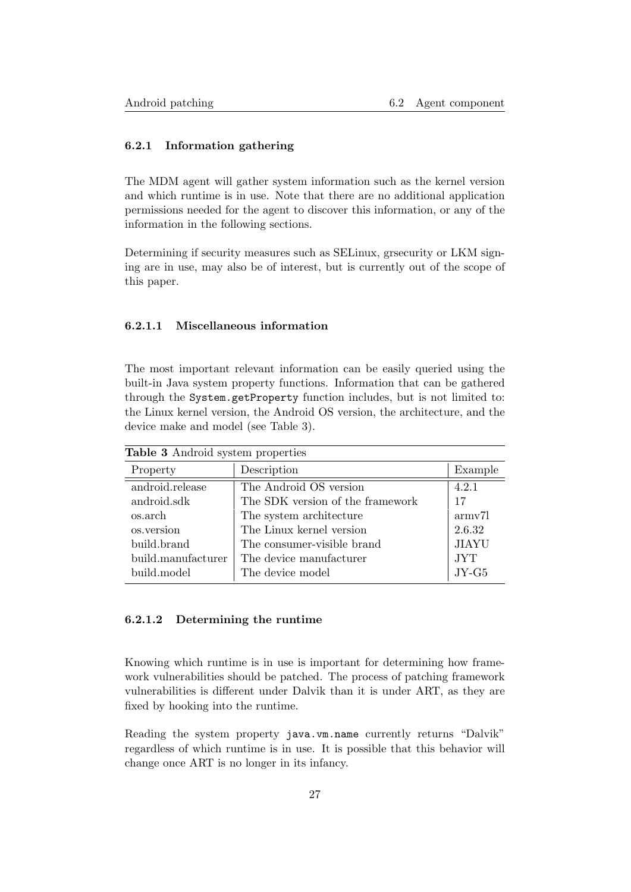# 6.2.1 Information gathering

The MDM agent will gather system information such as the kernel version and which runtime is in use. Note that there are no additional application permissions needed for the agent to discover this information, or any of the information in the following sections.

Determining if security measures such as SELinux, grsecurity or LKM signing are in use, may also be of interest, but is currently out of the scope of this paper.

### <span id="page-27-0"></span>6.2.1.1 Miscellaneous information

The most important relevant information can be easily queried using the built-in Java system property functions. Information that can be gathered through the System.getProperty function includes, but is not limited to: the Linux kernel version, the Android OS version, the architecture, and the device make and model (see Table [3\)](#page-27-2).

<span id="page-27-2"></span>

| Table 3 Android system properties |                                  |                     |
|-----------------------------------|----------------------------------|---------------------|
| Property                          | Description                      | Example             |
| android.release                   | The Android OS version           | 4.2.1               |
| android.sdk                       | The SDK version of the framework | 17                  |
| os.arch                           | The system architecture          | army <sub>7</sub> l |
| os.version                        | The Linux kernel version         | 2.6.32              |
| build.brand                       | The consumer-visible brand       | <b>JIAYU</b>        |
| build.manufacturer                | The device manufacturer          | <b>JYT</b>          |
| build.model                       | The device model                 | $JY-G5$             |

### <span id="page-27-1"></span>6.2.1.2 Determining the runtime

Knowing which runtime is in use is important for determining how framework vulnerabilities should be patched. The process of patching framework vulnerabilities is different under Dalvik than it is under ART, as they are fixed by hooking into the runtime.

Reading the system property java.vm.name currently returns "Dalvik" regardless of which runtime is in use. It is possible that this behavior will change once ART is no longer in its infancy.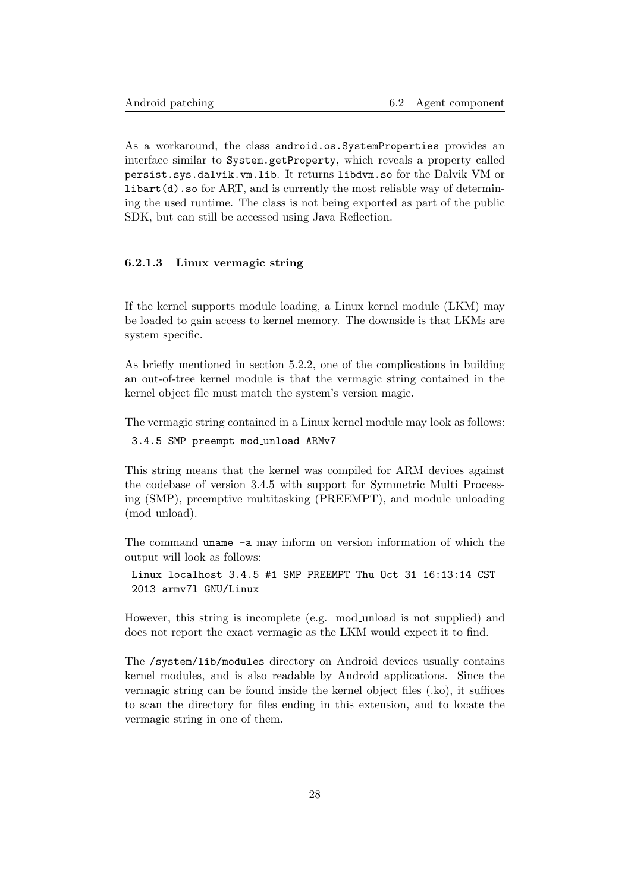As a workaround, the class android.os.SystemProperties provides an interface similar to System.getProperty, which reveals a property called persist.sys.dalvik.vm.lib. It returns libdvm.so for the Dalvik VM or  $\text{libart}(\text{d})$ . so for ART, and is currently the most reliable way of determining the used runtime. The class is not being exported as part of the public SDK, but can still be accessed using Java Reflection.

#### <span id="page-28-0"></span>6.2.1.3 Linux vermagic string

If the kernel supports module loading, a Linux kernel module (LKM) may be loaded to gain access to kernel memory. The downside is that LKMs are system specific.

As briefly mentioned in section [5.2.2,](#page-16-0) one of the complications in building an out-of-tree kernel module is that the vermagic string contained in the kernel object file must match the system's version magic.

The vermagic string contained in a Linux kernel module may look as follows:

3.4.5 SMP preempt mod unload ARMv7

This string means that the kernel was compiled for ARM devices against the codebase of version 3.4.5 with support for Symmetric Multi Processing (SMP), preemptive multitasking (PREEMPT), and module unloading (mod unload).

The command uname -a may inform on version information of which the output will look as follows:

```
Linux localhost 3.4.5 #1 SMP PREEMPT Thu Oct 31 16:13:14 CST
2013 armv7l GNU/Linux
```
However, this string is incomplete (e.g. mod\_unload is not supplied) and does not report the exact vermagic as the LKM would expect it to find.

<span id="page-28-1"></span>The /system/lib/modules directory on Android devices usually contains kernel modules, and is also readable by Android applications. Since the vermagic string can be found inside the kernel object files (.ko), it suffices to scan the directory for files ending in this extension, and to locate the vermagic string in one of them.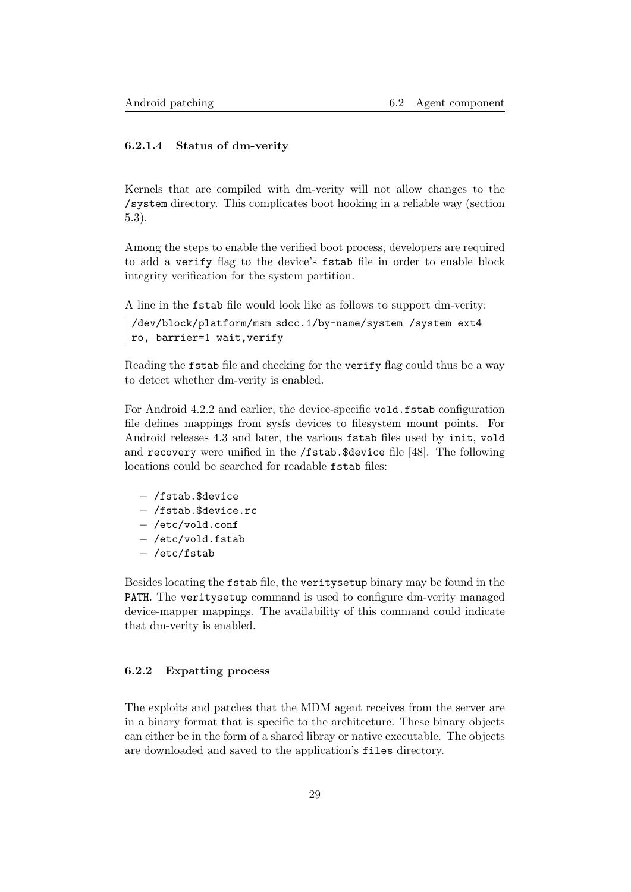# 6.2.1.4 Status of dm-verity

Kernels that are compiled with dm-verity will not allow changes to the /system directory. This complicates boot hooking in a reliable way (section [5.3\)](#page-21-0).

Among the steps to enable the verified boot process, developers are required to add a verify flag to the device's fstab file in order to enable block integrity verification for the system partition.

A line in the fstab file would look like as follows to support dm-verity:

```
/dev/block/platform/msm sdcc.1/by-name/system /system ext4
ro, barrier=1 wait,verify
```
Reading the fstab file and checking for the verify flag could thus be a way to detect whether dm-verity is enabled.

For Android 4.2.2 and earlier, the device-specific vold.fstab configuration file defines mappings from sysfs devices to filesystem mount points. For Android releases 4.3 and later, the various fstab files used by init, vold and recovery were unified in the /fstab.\$device file [\[48\]](#page-40-15). The following locations could be searched for readable fstab files:

- − /fstab.\$device
- − /fstab.\$device.rc
- − /etc/vold.conf
- − /etc/vold.fstab
- − /etc/fstab

Besides locating the fstab file, the veritysetup binary may be found in the PATH. The veritysetup command is used to configure dm-verity managed device-mapper mappings. The availability of this command could indicate that dm-verity is enabled.

#### <span id="page-29-0"></span>6.2.2 Expatting process

The exploits and patches that the MDM agent receives from the server are in a binary format that is specific to the architecture. These binary objects can either be in the form of a shared libray or native executable. The objects are downloaded and saved to the application's files directory.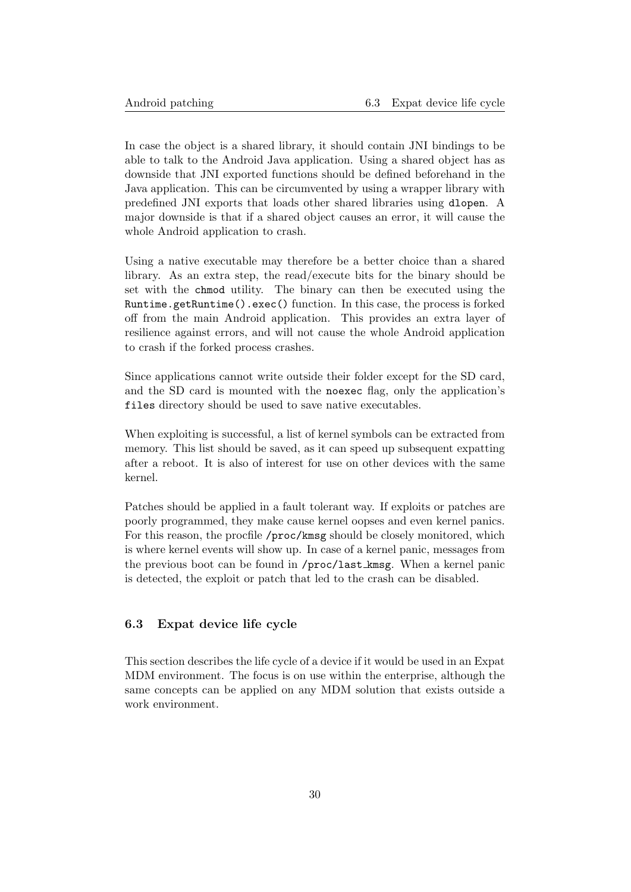In case the object is a shared library, it should contain JNI bindings to be able to talk to the Android Java application. Using a shared object has as downside that JNI exported functions should be defined beforehand in the Java application. This can be circumvented by using a wrapper library with predefined JNI exports that loads other shared libraries using dlopen. A major downside is that if a shared object causes an error, it will cause the whole Android application to crash.

Using a native executable may therefore be a better choice than a shared library. As an extra step, the read/execute bits for the binary should be set with the chmod utility. The binary can then be executed using the Runtime.getRuntime().exec() function. In this case, the process is forked off from the main Android application. This provides an extra layer of resilience against errors, and will not cause the whole Android application to crash if the forked process crashes.

Since applications cannot write outside their folder except for the SD card, and the SD card is mounted with the noexec flag, only the application's files directory should be used to save native executables.

When exploiting is successful, a list of kernel symbols can be extracted from memory. This list should be saved, as it can speed up subsequent expatting after a reboot. It is also of interest for use on other devices with the same kernel.

Patches should be applied in a fault tolerant way. If exploits or patches are poorly programmed, they make cause kernel oopses and even kernel panics. For this reason, the procfile /proc/kmsg should be closely monitored, which is where kernel events will show up. In case of a kernel panic, messages from the previous boot can be found in /proc/last kmsg. When a kernel panic is detected, the exploit or patch that led to the crash can be disabled.

# <span id="page-30-0"></span>6.3 Expat device life cycle

This section describes the life cycle of a device if it would be used in an Expat MDM environment. The focus is on use within the enterprise, although the same concepts can be applied on any MDM solution that exists outside a work environment.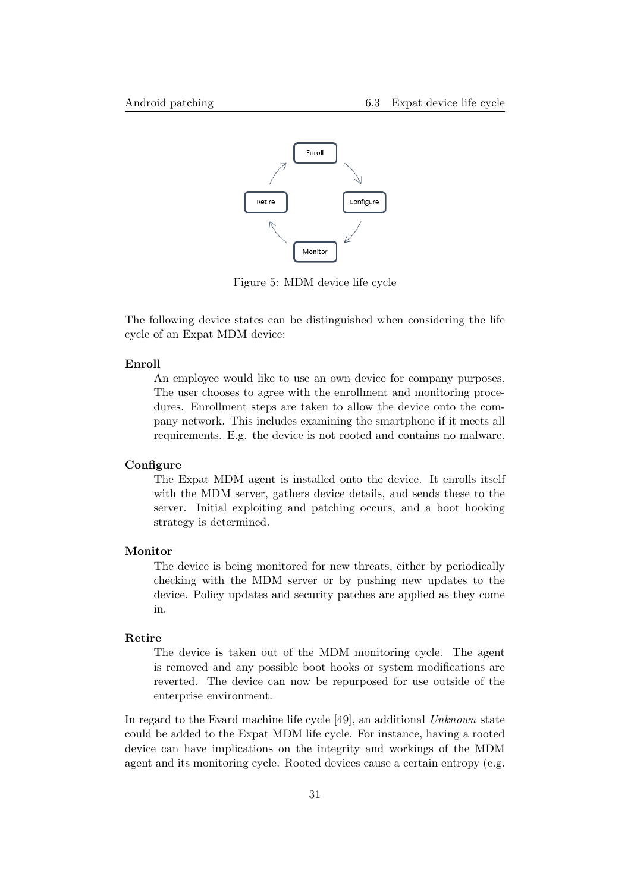

Figure 5: MDM device life cycle

The following device states can be distinguished when considering the life cycle of an Expat MDM device:

#### Enroll

An employee would like to use an own device for company purposes. The user chooses to agree with the enrollment and monitoring procedures. Enrollment steps are taken to allow the device onto the company network. This includes examining the smartphone if it meets all requirements. E.g. the device is not rooted and contains no malware.

### **Configure**

The Expat MDM agent is installed onto the device. It enrolls itself with the MDM server, gathers device details, and sends these to the server. Initial exploiting and patching occurs, and a boot hooking strategy is determined.

#### Monitor

The device is being monitored for new threats, either by periodically checking with the MDM server or by pushing new updates to the device. Policy updates and security patches are applied as they come in.

#### Retire

The device is taken out of the MDM monitoring cycle. The agent is removed and any possible boot hooks or system modifications are reverted. The device can now be repurposed for use outside of the enterprise environment.

In regard to the Evard machine life cycle [\[49\]](#page-40-16), an additional Unknown state could be added to the Expat MDM life cycle. For instance, having a rooted device can have implications on the integrity and workings of the MDM agent and its monitoring cycle. Rooted devices cause a certain entropy (e.g.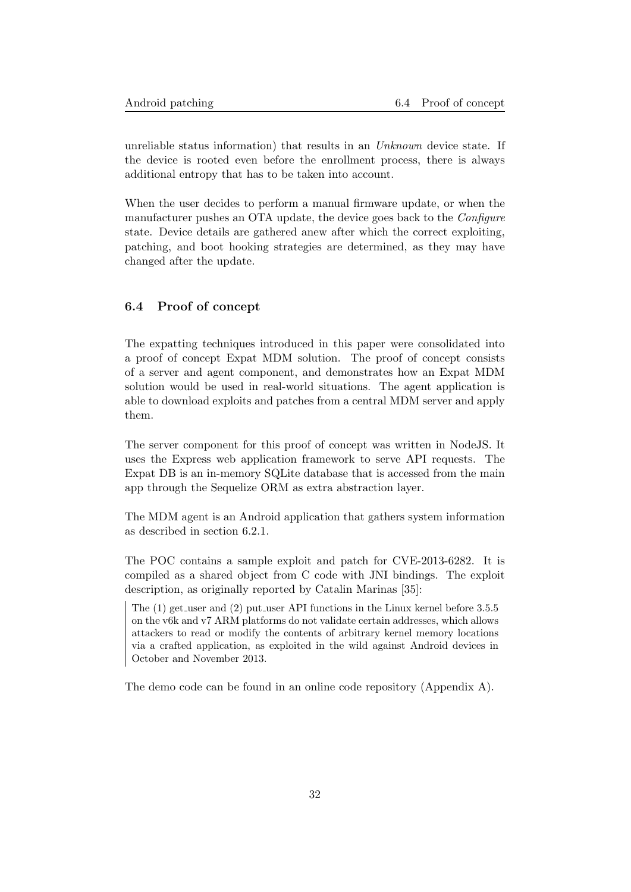unreliable status information) that results in an Unknown device state. If the device is rooted even before the enrollment process, there is always additional entropy that has to be taken into account.

When the user decides to perform a manual firmware update, or when the manufacturer pushes an OTA update, the device goes back to the Configure state. Device details are gathered anew after which the correct exploiting, patching, and boot hooking strategies are determined, as they may have changed after the update.

# <span id="page-32-0"></span>6.4 Proof of concept

The expatting techniques introduced in this paper were consolidated into a proof of concept Expat MDM solution. The proof of concept consists of a server and agent component, and demonstrates how an Expat MDM solution would be used in real-world situations. The agent application is able to download exploits and patches from a central MDM server and apply them.

The server component for this proof of concept was written in NodeJS. It uses the Express web application framework to serve API requests. The Expat DB is an in-memory SQLite database that is accessed from the main app through the Sequelize ORM as extra abstraction layer.

The MDM agent is an Android application that gathers system information as described in section [6.2.1.](#page-26-1)

The POC contains a sample exploit and patch for CVE-2013-6282. It is compiled as a shared object from C code with JNI bindings. The exploit description, as originally reported by Catalin Marinas [\[35\]](#page-40-2):

The (1) get user and (2) put user API functions in the Linux kernel before 3.5.5 on the v6k and v7 ARM platforms do not validate certain addresses, which allows attackers to read or modify the contents of arbitrary kernel memory locations via a crafted application, as exploited in the wild against Android devices in October and November 2013.

The demo code can be found in an online code repository (Appendix [A\)](#page-41-0).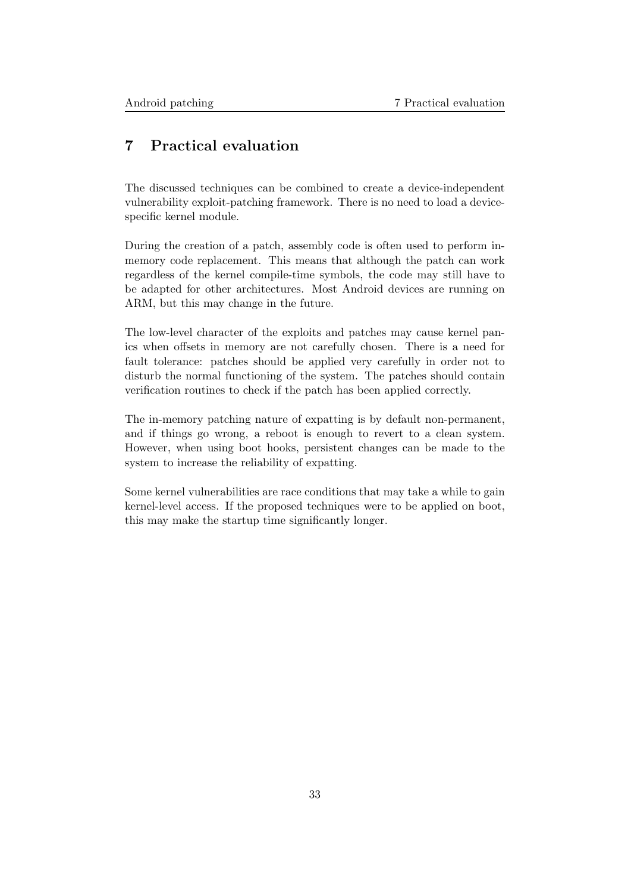# <span id="page-33-0"></span>7 Practical evaluation

The discussed techniques can be combined to create a device-independent vulnerability exploit-patching framework. There is no need to load a devicespecific kernel module.

During the creation of a patch, assembly code is often used to perform inmemory code replacement. This means that although the patch can work regardless of the kernel compile-time symbols, the code may still have to be adapted for other architectures. Most Android devices are running on ARM, but this may change in the future.

The low-level character of the exploits and patches may cause kernel panics when offsets in memory are not carefully chosen. There is a need for fault tolerance: patches should be applied very carefully in order not to disturb the normal functioning of the system. The patches should contain verification routines to check if the patch has been applied correctly.

The in-memory patching nature of expatting is by default non-permanent, and if things go wrong, a reboot is enough to revert to a clean system. However, when using boot hooks, persistent changes can be made to the system to increase the reliability of expatting.

Some kernel vulnerabilities are race conditions that may take a while to gain kernel-level access. If the proposed techniques were to be applied on boot, this may make the startup time significantly longer.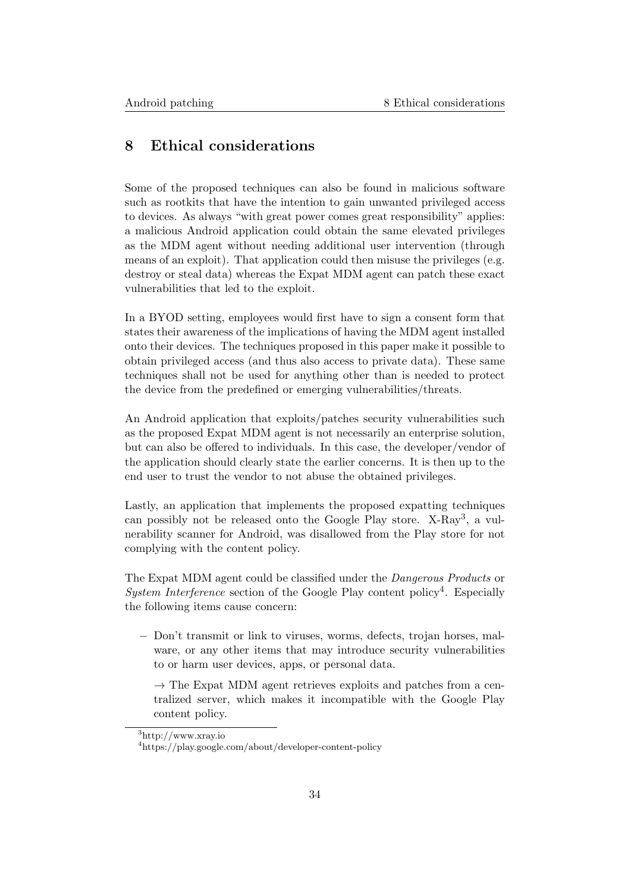# <span id="page-34-0"></span>8 Ethical considerations

Some of the proposed techniques can also be found in malicious software such as rootkits that have the intention to gain unwanted privileged access to devices. As always "with great power comes great responsibility" applies: a malicious Android application could obtain the same elevated privileges as the MDM agent without needing additional user intervention (through means of an exploit). That application could then misuse the privileges (e.g. destroy or steal data) whereas the Expat MDM agent can patch these exact vulnerabilities that led to the exploit.

In a BYOD setting, employees would first have to sign a consent form that states their awareness of the implications of having the MDM agent installed onto their devices. The techniques proposed in this paper make it possible to obtain privileged access (and thus also access to private data). These same techniques shall not be used for anything other than is needed to protect the device from the predefined or emerging vulnerabilities/threats.

An Android application that exploits/patches security vulnerabilities such as the proposed Expat MDM agent is not necessarily an enterprise solution, but can also be offered to individuals. In this case, the developer/vendor of the application should clearly state the earlier concerns. It is then up to the end user to trust the vendor to not abuse the obtained privileges.

Lastly, an application that implements the proposed expatting techniques can possibly not be released onto the Google Play store. X-Ray<sup>[3](#page-34-1)</sup>, a vulnerability scanner for Android, was disallowed from the Play store for not complying with the content policy.

The Expat MDM agent could be classified under the Dangerous Products or System Interference section of the Google Play content policy<sup>[4](#page-34-2)</sup>. Especially the following items cause concern:

− Don't transmit or link to viruses, worms, defects, trojan horses, malware, or any other items that may introduce security vulnerabilities to or harm user devices, apps, or personal data.

 $\rightarrow$  The Expat MDM agent retrieves exploits and patches from a centralized server, which makes it incompatible with the Google Play content policy.

<span id="page-34-1"></span><sup>3</sup>http://www.xray.io

<span id="page-34-2"></span><sup>4</sup>https://play.google.com/about/developer-content-policy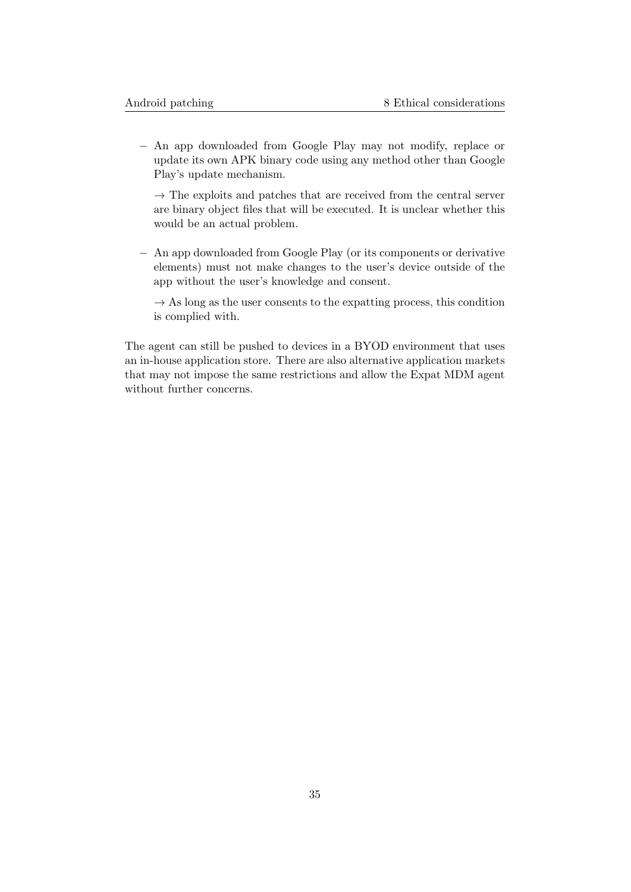− An app downloaded from Google Play may not modify, replace or update its own APK binary code using any method other than Google Play's update mechanism.

 $\rightarrow$  The exploits and patches that are received from the central server are binary object files that will be executed. It is unclear whether this would be an actual problem.

− An app downloaded from Google Play (or its components or derivative elements) must not make changes to the user's device outside of the app without the user's knowledge and consent.

 $\rightarrow$  As long as the user consents to the expatting process, this condition is complied with.

The agent can still be pushed to devices in a BYOD environment that uses an in-house application store. There are also alternative application markets that may not impose the same restrictions and allow the Expat MDM agent without further concerns.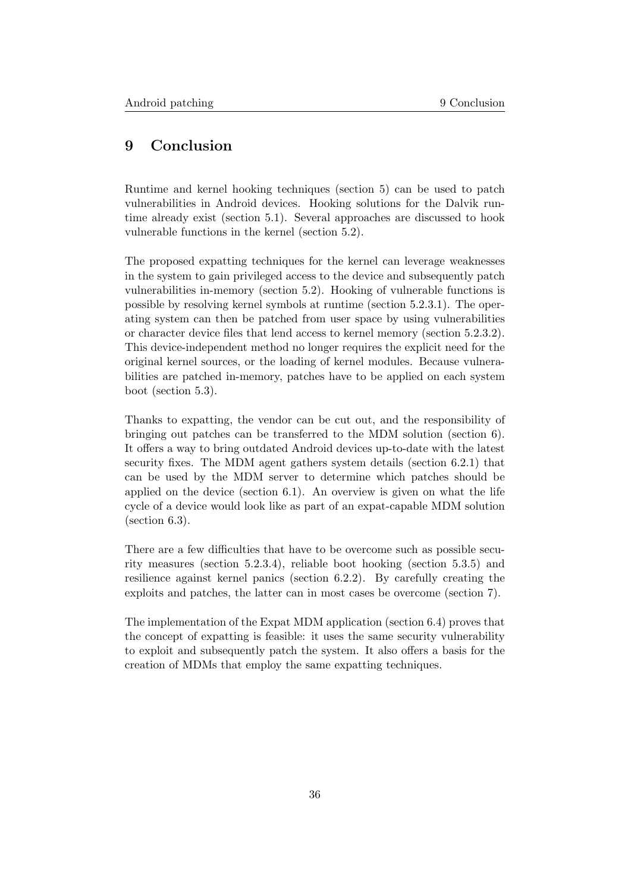# <span id="page-36-0"></span>9 Conclusion

Runtime and kernel hooking techniques (section [5\)](#page-12-0) can be used to patch vulnerabilities in Android devices. Hooking solutions for the Dalvik runtime already exist (section [5.1\)](#page-12-1). Several approaches are discussed to hook vulnerable functions in the kernel (section [5.2\)](#page-14-0).

The proposed expatting techniques for the kernel can leverage weaknesses in the system to gain privileged access to the device and subsequently patch vulnerabilities in-memory (section [5.2\)](#page-14-0). Hooking of vulnerable functions is possible by resolving kernel symbols at runtime (section [5.2.3.1\)](#page-17-1). The operating system can then be patched from user space by using vulnerabilities or character device files that lend access to kernel memory (section [5.2.3.2\)](#page-19-0). This device-independent method no longer requires the explicit need for the original kernel sources, or the loading of kernel modules. Because vulnerabilities are patched in-memory, patches have to be applied on each system boot (section [5.3\)](#page-21-0).

Thanks to expatting, the vendor can be cut out, and the responsibility of bringing out patches can be transferred to the MDM solution (section [6\)](#page-24-1). It offers a way to bring outdated Android devices up-to-date with the latest security fixes. The MDM agent gathers system details (section [6.2.1\)](#page-26-1) that can be used by the MDM server to determine which patches should be applied on the device (section [6.1\)](#page-25-0). An overview is given on what the life cycle of a device would look like as part of an expat-capable MDM solution (section [6.3\)](#page-30-0).

There are a few difficulties that have to be overcome such as possible security measures (section [5.2.3.4\)](#page-20-1), reliable boot hooking (section [5.3.5\)](#page-24-0) and resilience against kernel panics (section [6.2.2\)](#page-29-0). By carefully creating the exploits and patches, the latter can in most cases be overcome (section [7\)](#page-33-0).

The implementation of the Expat MDM application (section [6.4\)](#page-32-0) proves that the concept of expatting is feasible: it uses the same security vulnerability to exploit and subsequently patch the system. It also offers a basis for the creation of MDMs that employ the same expatting techniques.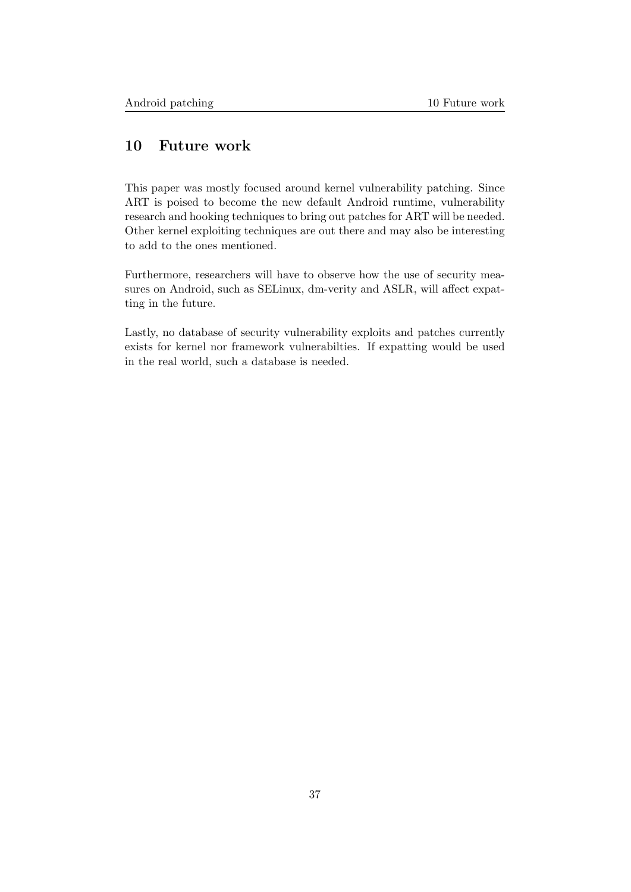# <span id="page-37-0"></span>10 Future work

This paper was mostly focused around kernel vulnerability patching. Since ART is poised to become the new default Android runtime, vulnerability research and hooking techniques to bring out patches for ART will be needed. Other kernel exploiting techniques are out there and may also be interesting to add to the ones mentioned.

Furthermore, researchers will have to observe how the use of security measures on Android, such as SELinux, dm-verity and ASLR, will affect expatting in the future.

Lastly, no database of security vulnerability exploits and patches currently exists for kernel nor framework vulnerabilties. If expatting would be used in the real world, such a database is needed.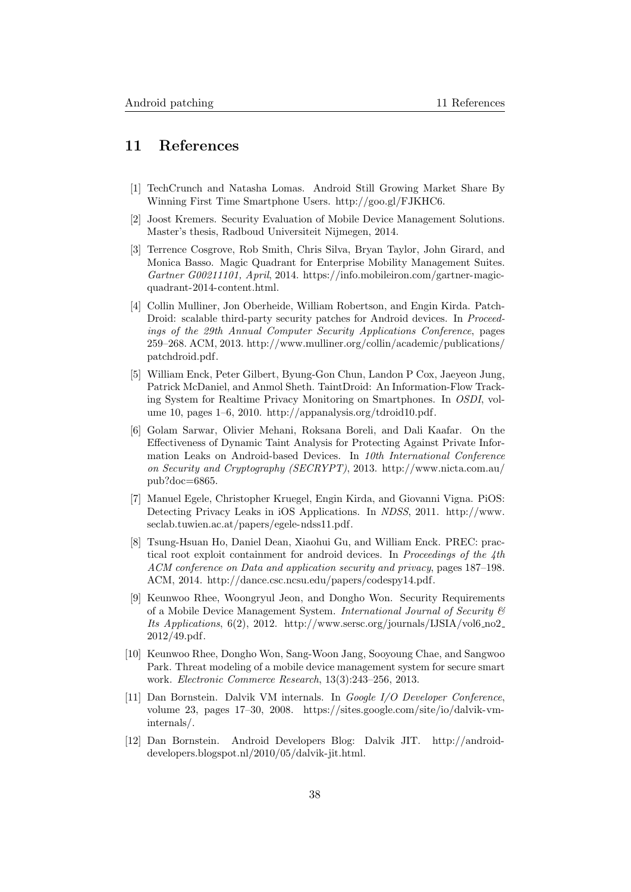# <span id="page-38-0"></span>11 References

- <span id="page-38-1"></span>[1] TechCrunch and Natasha Lomas. Android Still Growing Market Share By Winning First Time Smartphone Users. [http://goo.gl/FJKHC6.](http://goo.gl/FJKHC6)
- <span id="page-38-2"></span>[2] Joost Kremers. Security Evaluation of Mobile Device Management Solutions. Master's thesis, Radboud Universiteit Nijmegen, 2014.
- <span id="page-38-3"></span>[3] Terrence Cosgrove, Rob Smith, Chris Silva, Bryan Taylor, John Girard, and Monica Basso. Magic Quadrant for Enterprise Mobility Management Suites. Gartner G00211101, April, 2014. [https://info.mobileiron.com/gartner-magic](https://info.mobileiron.com/gartner-magic-quadrant-2014-content.html)[quadrant-2014-content.html.](https://info.mobileiron.com/gartner-magic-quadrant-2014-content.html)
- <span id="page-38-4"></span>[4] Collin Mulliner, Jon Oberheide, William Robertson, and Engin Kirda. Patch-Droid: scalable third-party security patches for Android devices. In Proceedings of the 29th Annual Computer Security Applications Conference, pages 259–268. ACM, 2013. [http://www.mulliner.org/collin/academic/publications/](http://www.mulliner.org/collin/academic/publications/patchdroid.pdf) [patchdroid.pdf.](http://www.mulliner.org/collin/academic/publications/patchdroid.pdf)
- <span id="page-38-5"></span>[5] William Enck, Peter Gilbert, Byung-Gon Chun, Landon P Cox, Jaeyeon Jung, Patrick McDaniel, and Anmol Sheth. TaintDroid: An Information-Flow Tracking System for Realtime Privacy Monitoring on Smartphones. In OSDI, volume 10, pages 1–6, 2010. [http://appanalysis.org/tdroid10.pdf.](http://appanalysis.org/tdroid10.pdf)
- <span id="page-38-6"></span>[6] Golam Sarwar, Olivier Mehani, Roksana Boreli, and Dali Kaafar. On the Effectiveness of Dynamic Taint Analysis for Protecting Against Private Information Leaks on Android-based Devices. In 10th International Conference on Security and Cryptography (SECRYPT), 2013. [http://www.nicta.com.au/](http://www.nicta.com.au/pub?doc=6865) [pub?doc=6865.](http://www.nicta.com.au/pub?doc=6865)
- <span id="page-38-7"></span>[7] Manuel Egele, Christopher Kruegel, Engin Kirda, and Giovanni Vigna. PiOS: Detecting Privacy Leaks in iOS Applications. In NDSS, 2011. [http://www.](http://www.seclab.tuwien.ac.at/papers/egele-ndss11.pdf) [seclab.tuwien.ac.at/papers/egele-ndss11.pdf.](http://www.seclab.tuwien.ac.at/papers/egele-ndss11.pdf)
- <span id="page-38-8"></span>[8] Tsung-Hsuan Ho, Daniel Dean, Xiaohui Gu, and William Enck. PREC: practical root exploit containment for android devices. In Proceedings of the 4th ACM conference on Data and application security and privacy, pages 187–198. ACM, 2014. [http://dance.csc.ncsu.edu/papers/codespy14.pdf.](http://dance.csc.ncsu.edu/papers/codespy14.pdf)
- <span id="page-38-9"></span>[9] Keunwoo Rhee, Woongryul Jeon, and Dongho Won. Security Requirements of a Mobile Device Management System. International Journal of Security & Its Applications, 6(2), 2012. [http://www.sersc.org/journals/IJSIA/vol6](http://www.sersc.org/journals/IJSIA/vol6_no2_2012/49.pdf) no2 [2012/49.pdf.](http://www.sersc.org/journals/IJSIA/vol6_no2_2012/49.pdf)
- <span id="page-38-10"></span>[10] Keunwoo Rhee, Dongho Won, Sang-Woon Jang, Sooyoung Chae, and Sangwoo Park. Threat modeling of a mobile device management system for secure smart work. Electronic Commerce Research, 13(3):243–256, 2013.
- <span id="page-38-11"></span>[11] Dan Bornstein. Dalvik VM internals. In Google I/O Developer Conference, volume 23, pages 17–30, 2008. [https://sites.google.com/site/io/dalvik-vm](https://sites.google.com/site/io/dalvik-vm-internals/)[internals/.](https://sites.google.com/site/io/dalvik-vm-internals/)
- <span id="page-38-12"></span>[12] Dan Bornstein. Android Developers Blog: Dalvik JIT. [http://android](http://android-developers.blogspot.nl/2010/05/dalvik-jit.html)[developers.blogspot.nl/2010/05/dalvik-jit.html.](http://android-developers.blogspot.nl/2010/05/dalvik-jit.html)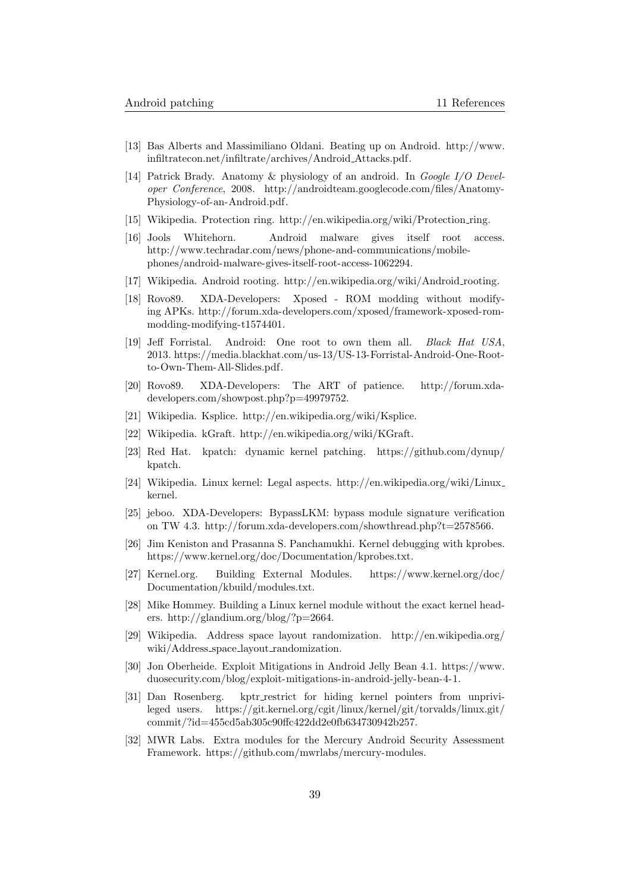- <span id="page-39-0"></span>[13] Bas Alberts and Massimiliano Oldani. Beating up on Android. [http://www.](http://www.infiltratecon.net/infiltrate/archives/Android_Attacks.pdf) [infiltratecon.net/infiltrate/archives/Android](http://www.infiltratecon.net/infiltrate/archives/Android_Attacks.pdf) Attacks.pdf.
- <span id="page-39-1"></span>[14] Patrick Brady. Anatomy & physiology of an android. In Google I/O Developer Conference, 2008. [http://androidteam.googlecode.com/files/Anatomy-](http://androidteam.googlecode.com/files/Anatomy-Physiology-of-an-Android.pdf)[Physiology-of-an-Android.pdf.](http://androidteam.googlecode.com/files/Anatomy-Physiology-of-an-Android.pdf)
- <span id="page-39-2"></span>[15] Wikipedia. Protection ring. [http://en.wikipedia.org/wiki/Protection](http://en.wikipedia.org/wiki/Protection_ring) ring.
- <span id="page-39-3"></span>[16] Jools Whitehorn. Android malware gives itself root access. [http://www.techradar.com/news/phone-and-communications/mobile](http://www.techradar.com/news/phone-and-communications/mobile-phones/android-malware-gives-itself-root-access-1062294)[phones/android-malware-gives-itself-root-access-1062294.](http://www.techradar.com/news/phone-and-communications/mobile-phones/android-malware-gives-itself-root-access-1062294)
- <span id="page-39-4"></span>[17] Wikipedia. Android rooting. [http://en.wikipedia.org/wiki/Android](http://en.wikipedia.org/wiki/Android_rooting) rooting.
- <span id="page-39-5"></span>[18] Rovo89. XDA-Developers: Xposed - ROM modding without modifying APKs. [http://forum.xda-developers.com/xposed/framework-xposed-rom](http://forum.xda-developers.com/xposed/framework-xposed-rom-modding-modifying-t1574401)[modding-modifying-t1574401.](http://forum.xda-developers.com/xposed/framework-xposed-rom-modding-modifying-t1574401)
- <span id="page-39-6"></span>[19] Jeff Forristal. Android: One root to own them all. Black Hat USA, 2013. [https://media.blackhat.com/us-13/US-13-Forristal-Android-One-Root](https://media.blackhat.com/us-13/US-13-Forristal-Android-One-Root-to-Own-Them-All-Slides.pdf)[to-Own-Them-All-Slides.pdf.](https://media.blackhat.com/us-13/US-13-Forristal-Android-One-Root-to-Own-Them-All-Slides.pdf)
- <span id="page-39-7"></span>[20] Rovo89. XDA-Developers: The ART of patience. [http://forum.xda](http://forum.xda-developers.com/showpost.php?p=49979752)[developers.com/showpost.php?p=49979752.](http://forum.xda-developers.com/showpost.php?p=49979752)
- <span id="page-39-8"></span>[21] Wikipedia. Ksplice. [http://en.wikipedia.org/wiki/Ksplice.](http://en.wikipedia.org/wiki/Ksplice)
- <span id="page-39-9"></span>[22] Wikipedia. kGraft. [http://en.wikipedia.org/wiki/KGraft.](http://en.wikipedia.org/wiki/KGraft)
- <span id="page-39-10"></span>[23] Red Hat. kpatch: dynamic kernel patching. [https://github.com/dynup/](https://github.com/dynup/kpatch) [kpatch.](https://github.com/dynup/kpatch)
- <span id="page-39-11"></span>[24] Wikipedia. Linux kernel: Legal aspects. [http://en.wikipedia.org/wiki/Linux](http://en.wikipedia.org/wiki/Linux_kernel) [kernel.](http://en.wikipedia.org/wiki/Linux_kernel)
- <span id="page-39-12"></span>[25] jeboo. XDA-Developers: BypassLKM: bypass module signature verification on TW 4.3. [http://forum.xda-developers.com/showthread.php?t=2578566.](http://forum.xda-developers.com/showthread.php?t=2578566)
- <span id="page-39-13"></span>[26] Jim Keniston and Prasanna S. Panchamukhi. Kernel debugging with kprobes. [https://www.kernel.org/doc/Documentation/kprobes.txt.](https://www.kernel.org/doc/Documentation/kprobes.txt)
- <span id="page-39-14"></span>[27] Kernel.org. Building External Modules. [https://www.kernel.org/doc/](https://www.kernel.org/doc/Documentation/kbuild/modules.txt) [Documentation/kbuild/modules.txt.](https://www.kernel.org/doc/Documentation/kbuild/modules.txt)
- <span id="page-39-15"></span>[28] Mike Hommey. Building a Linux kernel module without the exact kernel headers. [http://glandium.org/blog/?p=2664.](http://glandium.org/blog/?p=2664)
- <span id="page-39-16"></span>[29] Wikipedia. Address space layout randomization. [http://en.wikipedia.org/](http://en.wikipedia.org/wiki/Address_space_layout_randomization) wiki/Address\_space\_layout\_[randomization.](http://en.wikipedia.org/wiki/Address_space_layout_randomization)
- <span id="page-39-17"></span>[30] Jon Oberheide. Exploit Mitigations in Android Jelly Bean 4.1. [https://www.](https://www.duosecurity.com/blog/exploit-mitigations-in-android-jelly-bean-4-1) [duosecurity.com/blog/exploit-mitigations-in-android-jelly-bean-4-1.](https://www.duosecurity.com/blog/exploit-mitigations-in-android-jelly-bean-4-1)
- <span id="page-39-18"></span>[31] Dan Rosenberg. kptr restrict for hiding kernel pointers from unprivileged users. [https://git.kernel.org/cgit/linux/kernel/git/torvalds/linux.git/](https://git.kernel.org/cgit/linux/kernel/git/torvalds/linux.git/commit/?id=455cd5ab305c90ffc422dd2e0fb634730942b257) [commit/?id=455cd5ab305c90ffc422dd2e0fb634730942b257.](https://git.kernel.org/cgit/linux/kernel/git/torvalds/linux.git/commit/?id=455cd5ab305c90ffc422dd2e0fb634730942b257)
- <span id="page-39-19"></span>[32] MWR Labs. Extra modules for the Mercury Android Security Assessment Framework. [https://github.com/mwrlabs/mercury-modules.](https://github.com/mwrlabs/mercury-modules)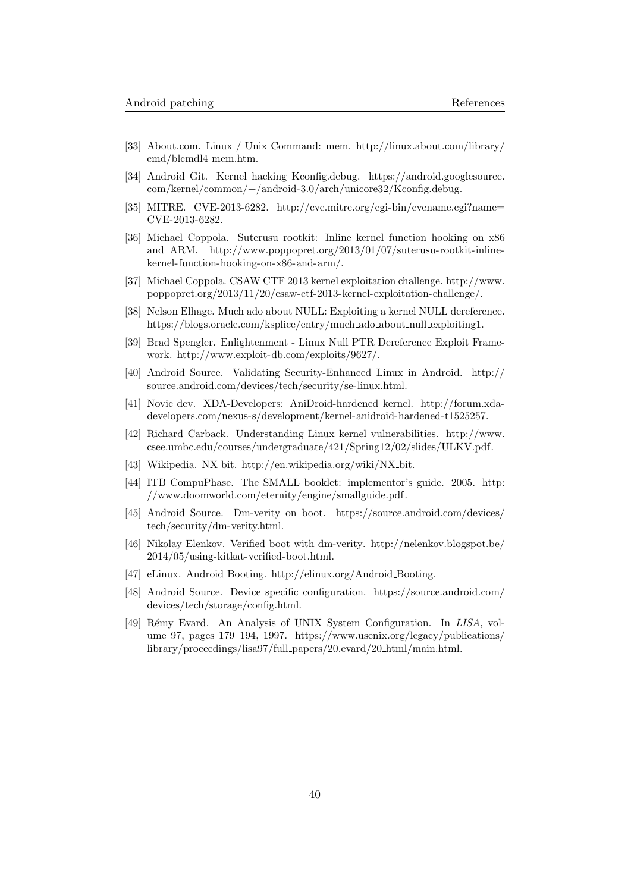- <span id="page-40-0"></span>[33] About.com. Linux / Unix Command: mem. [http://linux.about.com/library/](http://linux.about.com/library/cmd/blcmdl4_mem.htm) [cmd/blcmdl4](http://linux.about.com/library/cmd/blcmdl4_mem.htm) mem.htm.
- <span id="page-40-1"></span>[34] Android Git. Kernel hacking Kconfig.debug. [https://android.googlesource.](https://android.googlesource.com/kernel/common/+/android-3.0/arch/unicore32/Kconfig.debug) [com/kernel/common/+/android-3.0/arch/unicore32/Kconfig.debug.](https://android.googlesource.com/kernel/common/+/android-3.0/arch/unicore32/Kconfig.debug)
- <span id="page-40-2"></span>[35] MITRE. CVE-2013-6282. [http://cve.mitre.org/cgi-bin/cvename.cgi?name=](http://cve.mitre.org/cgi-bin/cvename.cgi?name=CVE-2013-6282) [CVE-2013-6282.](http://cve.mitre.org/cgi-bin/cvename.cgi?name=CVE-2013-6282)
- <span id="page-40-3"></span>[36] Michael Coppola. Suterusu rootkit: Inline kernel function hooking on x86 and ARM. [http://www.poppopret.org/2013/01/07/suterusu-rootkit-inline](http://www.poppopret.org/2013/01/07/suterusu-rootkit-inline-kernel-function-hooking-on-x86-and-arm/)[kernel-function-hooking-on-x86-and-arm/.](http://www.poppopret.org/2013/01/07/suterusu-rootkit-inline-kernel-function-hooking-on-x86-and-arm/)
- <span id="page-40-4"></span>[37] Michael Coppola. CSAW CTF 2013 kernel exploitation challenge. [http://www.](http://www.poppopret.org/2013/11/20/csaw-ctf-2013-kernel-exploitation-challenge/) [poppopret.org/2013/11/20/csaw-ctf-2013-kernel-exploitation-challenge/.](http://www.poppopret.org/2013/11/20/csaw-ctf-2013-kernel-exploitation-challenge/)
- <span id="page-40-5"></span>[38] Nelson Elhage. Much ado about NULL: Exploiting a kernel NULL dereference. [https://blogs.oracle.com/ksplice/entry/much](https://blogs.oracle.com/ksplice/entry/much_ado_about_null_exploiting1) ado about null exploiting1.
- <span id="page-40-6"></span>[39] Brad Spengler. Enlightenment - Linux Null PTR Dereference Exploit Framework. [http://www.exploit-db.com/exploits/9627/.](http://www.exploit-db.com/exploits/9627/)
- <span id="page-40-7"></span>[40] Android Source. Validating Security-Enhanced Linux in Android. [http://](http://source.android.com/devices/tech/security/se-linux.html) [source.android.com/devices/tech/security/se-linux.html.](http://source.android.com/devices/tech/security/se-linux.html)
- <span id="page-40-8"></span>[41] Novic dev. XDA-Developers: AniDroid-hardened kernel. [http://forum.xda](http://forum.xda-developers.com/nexus-s/development/kernel-anidroid-hardened-t1525257)[developers.com/nexus-s/development/kernel-anidroid-hardened-t1525257.](http://forum.xda-developers.com/nexus-s/development/kernel-anidroid-hardened-t1525257)
- <span id="page-40-9"></span>[42] Richard Carback. Understanding Linux kernel vulnerabilities. [http://www.](http://www.csee.umbc.edu/courses/undergraduate/421/Spring12/02/slides/ULKV.pdf) [csee.umbc.edu/courses/undergraduate/421/Spring12/02/slides/ULKV.pdf.](http://www.csee.umbc.edu/courses/undergraduate/421/Spring12/02/slides/ULKV.pdf)
- <span id="page-40-10"></span>[43] Wikipedia. NX bit. [http://en.wikipedia.org/wiki/NX](http://en.wikipedia.org/wiki/NX_bit) bit.
- <span id="page-40-11"></span>[44] ITB CompuPhase. The SMALL booklet: implementor's guide. 2005. [http:](http://www.doomworld.com/eternity/engine/smallguide.pdf) [//www.doomworld.com/eternity/engine/smallguide.pdf.](http://www.doomworld.com/eternity/engine/smallguide.pdf)
- <span id="page-40-12"></span>[45] Android Source. Dm-verity on boot. [https://source.android.com/devices/](https://source.android.com/devices/tech/security/dm-verity.html) [tech/security/dm-verity.html.](https://source.android.com/devices/tech/security/dm-verity.html)
- <span id="page-40-13"></span>[46] Nikolay Elenkov. Verified boot with dm-verity. [http://nelenkov.blogspot.be/](http://nelenkov.blogspot.be/2014/05/using-kitkat-verified-boot.html) [2014/05/using-kitkat-verified-boot.html.](http://nelenkov.blogspot.be/2014/05/using-kitkat-verified-boot.html)
- <span id="page-40-14"></span>[47] eLinux. Android Booting. [http://elinux.org/Android](http://elinux.org/Android_Booting) Booting.
- <span id="page-40-15"></span>[48] Android Source. Device specific configuration. [https://source.android.com/](https://source.android.com/devices/tech/storage/config.html) [devices/tech/storage/config.html.](https://source.android.com/devices/tech/storage/config.html)
- <span id="page-40-16"></span>[49] Rémy Evard. An Analysis of UNIX System Configuration. In LISA, volume 97, pages 179–194, 1997. [https://www.usenix.org/legacy/publications/](https://www.usenix.org/legacy/publications/library/proceedings/lisa97/full_papers/20.evard/20_html/main.html) [library/proceedings/lisa97/full](https://www.usenix.org/legacy/publications/library/proceedings/lisa97/full_papers/20.evard/20_html/main.html) papers/20.evard/20 html/main.html.